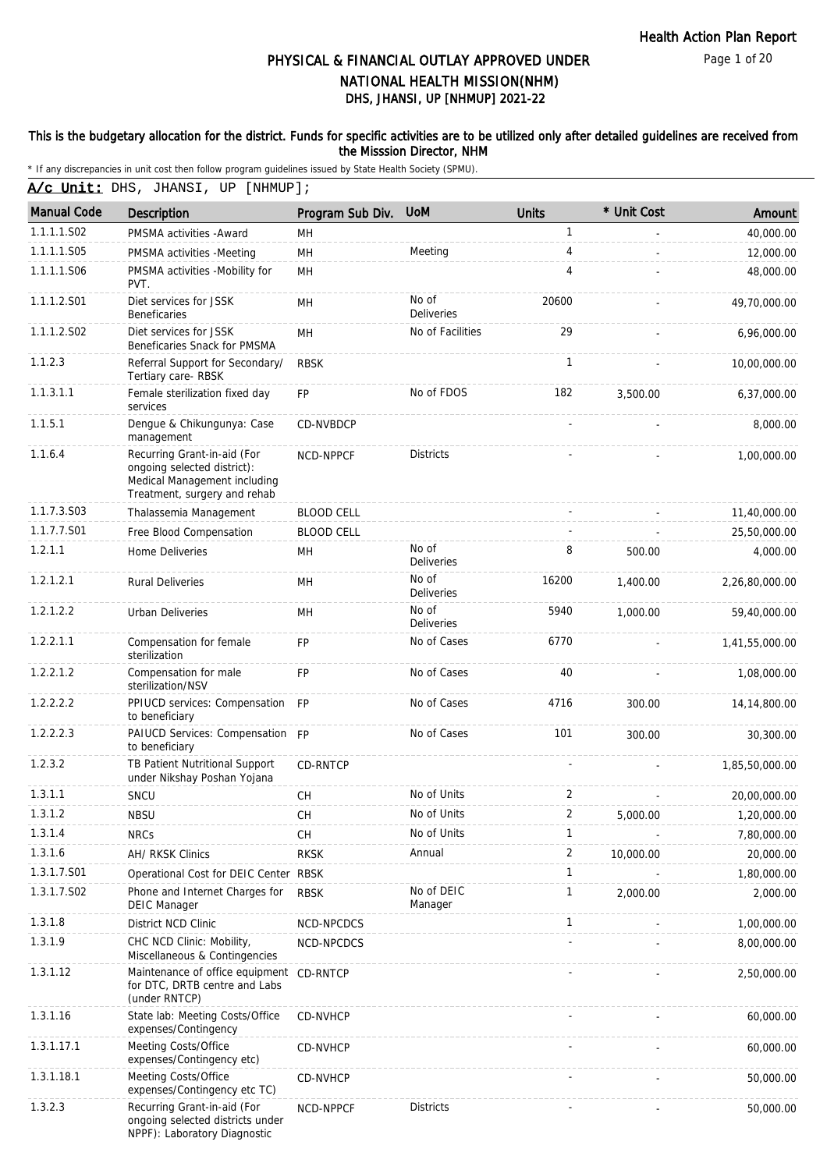Page 1 of 20

# DHS, JHANSI, UP [NHMUP] 2021-22 PHYSICAL & FINANCIAL OUTLAY APPROVED UNDER NATIONAL HEALTH MISSION(NHM)

## This is the budgetary allocation for the district. Funds for specific activities are to be utilized only after detailed guidelines are received from the Misssion Director, NHM

| <u>A/c Unit:</u> DHS, JHANSI, UP [NHMUP]; |
|-------------------------------------------|
|-------------------------------------------|

| <b>Manual Code</b> | <b>Description</b>                                                                                                         | Program Sub Div.  | <b>UoM</b>                 | Units          | * Unit Cost | Amount         |
|--------------------|----------------------------------------------------------------------------------------------------------------------------|-------------------|----------------------------|----------------|-------------|----------------|
| 1.1.1.1.S02        | PMSMA activities - Award                                                                                                   | MH                |                            | $\mathbf{1}$   |             | 40,000.00      |
| 1.1.1.1.S05        | PMSMA activities -Meeting                                                                                                  | MH                | Meeting                    | 4              |             | 12,000.00      |
| 1.1.1.1.S06        | PMSMA activities -Mobility for<br>PVT.                                                                                     | MH                |                            | $\overline{4}$ |             | 48,000.00      |
| 1.1.1.2.S01        | Diet services for JSSK<br><b>Beneficaries</b>                                                                              | MH                | No of<br><b>Deliveries</b> | 20600          |             | 49,70,000.00   |
| 1.1.1.2.S02        | Diet services for JSSK<br>Beneficaries Snack for PMSMA                                                                     | MH                | No of Facilities           | 29             |             | 6,96,000.00    |
| 1.1.2.3            | Referral Support for Secondary/<br>Tertiary care-RBSK                                                                      | <b>RBSK</b>       |                            | $\mathbf{1}$   |             | 10,00,000.00   |
| 1.1.3.1.1          | Female sterilization fixed day<br>services                                                                                 | <b>FP</b>         | No of FDOS                 | 182            | 3,500.00    | 6,37,000.00    |
| 1.1.5.1            | Dengue & Chikungunya: Case<br>management                                                                                   | CD-NVBDCP         |                            |                |             | 8,000.00       |
| 1.1.6.4            | Recurring Grant-in-aid (For<br>ongoing selected district):<br>Medical Management including<br>Treatment, surgery and rehab | NCD-NPPCF         | <b>Districts</b>           |                |             | 1,00,000.00    |
| 1.1.7.3.S03        | Thalassemia Management                                                                                                     | <b>BLOOD CELL</b> |                            |                |             | 11,40,000.00   |
| 1.1.7.7.S01        | Free Blood Compensation                                                                                                    | <b>BLOOD CELL</b> |                            |                |             | 25,50,000.00   |
| 1.2.1.1            | Home Deliveries                                                                                                            | MН                | No of<br><b>Deliveries</b> | 8              | 500.00      | 4,000.00       |
| 1.2.1.2.1          | <b>Rural Deliveries</b>                                                                                                    | MH                | No of<br><b>Deliveries</b> | 16200          | 1,400.00    | 2,26,80,000.00 |
| 1.2.1.2.2          | Urban Deliveries                                                                                                           | <b>MH</b>         | No of<br><b>Deliveries</b> | 5940           | 1,000.00    | 59,40,000.00   |
| 1.2.2.1.1          | Compensation for female<br>sterilization                                                                                   | FP                | No of Cases                | 6770           |             | 1,41,55,000.00 |
| 1.2.2.1.2          | Compensation for male<br>sterilization/NSV                                                                                 | <b>FP</b>         | No of Cases                | 40             |             | 1,08,000.00    |
| 1.2.2.2.2          | PPIUCD services: Compensation<br>to beneficiary                                                                            | <b>FP</b>         | No of Cases                | 4716           | 300.00      | 14, 14, 800.00 |
| 1.2.2.2.3          | PAIUCD Services: Compensation FP<br>to beneficiary                                                                         |                   | No of Cases                | 101            | 300.00      | 30,300.00      |
| 1.2.3.2            | TB Patient Nutritional Support<br>under Nikshay Poshan Yojana                                                              | CD-RNTCP          |                            |                |             | 1,85,50,000.00 |
| 1.3.1.1            | SNCU                                                                                                                       | <b>CH</b>         | No of Units                | 2              |             | 20,00,000.00   |
| 1.3.1.2            | <b>NBSU</b>                                                                                                                | CH                | No of Units                | 2              | 5,000.00    | 1,20,000.00    |
| 1.3.1.4            | <b>NRCs</b>                                                                                                                | CH                | No of Units                | 1              |             | 7,80,000.00    |
| 1.3.1.6            | AH/ RKSK Clinics                                                                                                           | <b>RKSK</b>       | Annual                     | 2              | 10,000.00   | 20,000.00      |
| 1.3.1.7.S01        | Operational Cost for DEIC Center RBSK                                                                                      |                   |                            | 1              |             | 1,80,000.00    |
| 1.3.1.7.S02        | Phone and Internet Charges for<br><b>DEIC Manager</b>                                                                      | <b>RBSK</b>       | No of DEIC<br>Manager      | 1              | 2,000.00    | 2,000.00       |
| 1.3.1.8            | District NCD Clinic                                                                                                        | NCD-NPCDCS        |                            | $\mathbf{1}$   |             | 1,00,000.00    |
| 1.3.1.9            | CHC NCD Clinic: Mobility,<br>Miscellaneous & Contingencies                                                                 | NCD-NPCDCS        |                            |                |             | 8,00,000.00    |
| 1.3.1.12           | Maintenance of office equipment CD-RNTCP<br>for DTC, DRTB centre and Labs<br>(under RNTCP)                                 |                   |                            |                |             | 2,50,000.00    |
| 1.3.1.16           | State lab: Meeting Costs/Office<br>expenses/Contingency                                                                    | CD-NVHCP          |                            |                |             | 60,000.00      |
| 1.3.1.17.1         | Meeting Costs/Office<br>expenses/Contingency etc)                                                                          | CD-NVHCP          |                            |                |             | 60,000.00      |
| 1.3.1.18.1         | Meeting Costs/Office<br>expenses/Contingency etc TC)                                                                       | CD-NVHCP          |                            |                |             | 50,000.00      |
| 1.3.2.3            | Recurring Grant-in-aid (For<br>ongoing selected districts under<br>NPPF): Laboratory Diagnostic                            | NCD-NPPCF         | <b>Districts</b>           |                |             | 50,000.00      |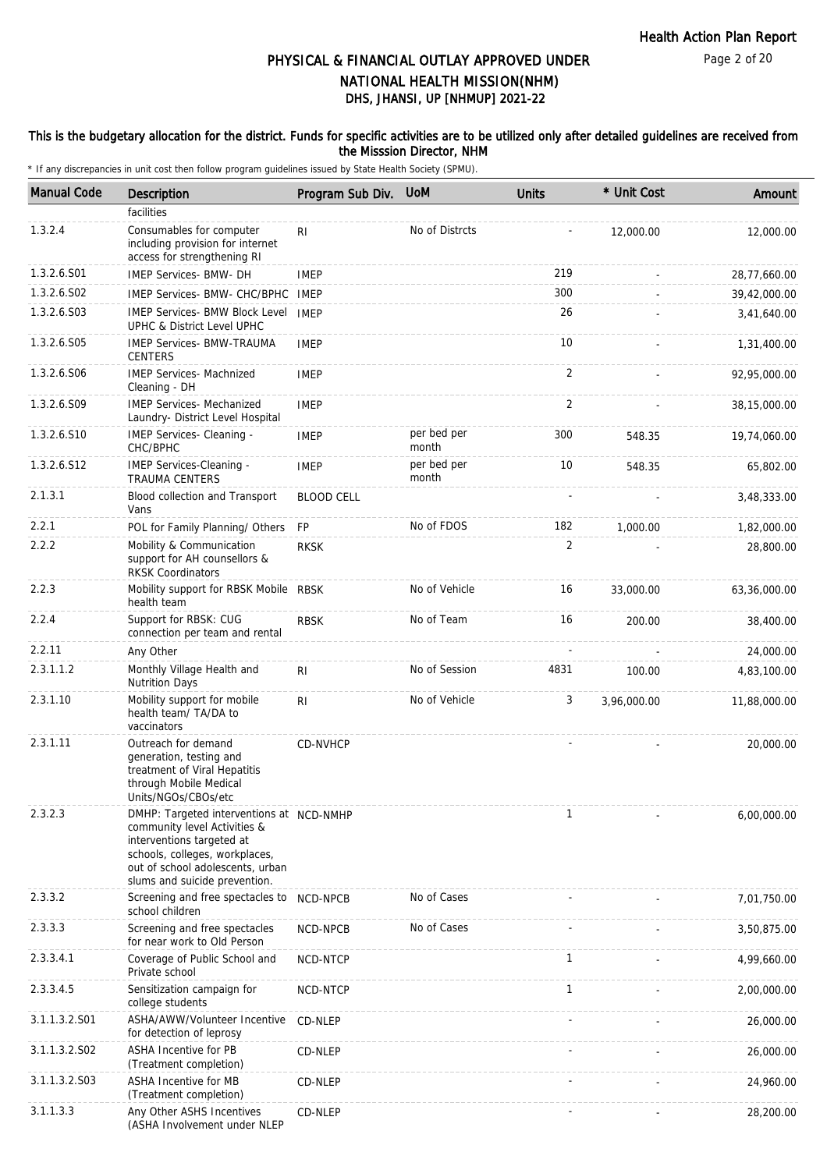## This is the budgetary allocation for the district. Funds for specific activities are to be utilized only after detailed guidelines are received from the Misssion Director, NHM

| <b>Manual Code</b> | Description                                                                                                                                                                                                  | Program Sub Div.  | <b>UoM</b>           | <b>Units</b>   | * Unit Cost | Amount       |
|--------------------|--------------------------------------------------------------------------------------------------------------------------------------------------------------------------------------------------------------|-------------------|----------------------|----------------|-------------|--------------|
|                    | facilities                                                                                                                                                                                                   |                   |                      |                |             |              |
| 1.3.2.4            | Consumables for computer<br>including provision for internet<br>access for strengthening RI                                                                                                                  | RI                | No of Distrcts       |                | 12,000.00   | 12,000.00    |
| 1.3.2.6.S01        | IMEP Services- BMW- DH                                                                                                                                                                                       | <b>IMEP</b>       |                      | 219            |             | 28,77,660.00 |
| 1.3.2.6.S02        | IMEP Services- BMW- CHC/BPHC                                                                                                                                                                                 | <b>IMEP</b>       |                      | 300            |             | 39,42,000.00 |
| 1.3.2.6.S03        | <b>IMEP Services- BMW Block Level</b><br>UPHC & District Level UPHC                                                                                                                                          | <b>IMEP</b>       |                      | 26             |             | 3,41,640.00  |
| 1.3.2.6.S05        | <b>IMEP Services- BMW-TRAUMA</b><br><b>CENTERS</b>                                                                                                                                                           | <b>IMEP</b>       |                      | 10             |             | 1,31,400.00  |
| 1.3.2.6.S06        | <b>IMEP Services- Machnized</b><br>Cleaning - DH                                                                                                                                                             | <b>IMEP</b>       |                      | 2              |             | 92,95,000.00 |
| 1.3.2.6.S09        | <b>IMEP Services- Mechanized</b><br>Laundry- District Level Hospital                                                                                                                                         | <b>IMEP</b>       |                      | 2              |             | 38,15,000.00 |
| 1.3.2.6.S10        | IMEP Services- Cleaning -<br>CHC/BPHC                                                                                                                                                                        | <b>IMEP</b>       | per bed per<br>month | 300            | 548.35      | 19,74,060.00 |
| 1.3.2.6.S12        | IMEP Services-Cleaning -<br><b>TRAUMA CENTERS</b>                                                                                                                                                            | <b>IMEP</b>       | per bed per<br>month | 10             | 548.35      | 65,802.00    |
| 2.1.3.1            | Blood collection and Transport<br>Vans                                                                                                                                                                       | <b>BLOOD CELL</b> |                      |                |             | 3,48,333.00  |
| 2.2.1              | POL for Family Planning/ Others                                                                                                                                                                              | <b>FP</b>         | No of FDOS           | 182            | 1.000.00    | 1,82,000.00  |
| 2.2.2              | Mobility & Communication<br>support for AH counsellors &<br><b>RKSK Coordinators</b>                                                                                                                         | <b>RKSK</b>       |                      | $\overline{2}$ |             | 28,800.00    |
| 2.2.3              | Mobility support for RBSK Mobile RBSK<br>health team                                                                                                                                                         |                   | No of Vehicle        | 16             | 33,000.00   | 63,36,000.00 |
| 2.2.4              | Support for RBSK: CUG<br>connection per team and rental                                                                                                                                                      | <b>RBSK</b>       | No of Team           | 16             | 200.00      | 38,400.00    |
| 2.2.11             | Any Other                                                                                                                                                                                                    |                   |                      |                |             | 24,000.00    |
| 2.3.1.1.2          | Monthly Village Health and<br><b>Nutrition Days</b>                                                                                                                                                          | R <sub>1</sub>    | No of Session        | 4831           | 100.00      | 4,83,100.00  |
| 2.3.1.10           | Mobility support for mobile<br>health team/ TA/DA to<br>vaccinators                                                                                                                                          | R <sub>l</sub>    | No of Vehicle        | 3              | 3,96,000.00 | 11,88,000.00 |
| 2.3.1.11           | Outreach for demand<br>generation, testing and<br>treatment of Viral Hepatitis<br>through Mobile Medical<br>Units/NGOs/CBOs/etc                                                                              | CD-NVHCP          |                      |                |             | 20,000.00    |
| 2.3.2.3            | DMHP: Targeted interventions at NCD-NMHP<br>community level Activities &<br>interventions targeted at<br>schools, colleges, workplaces,<br>out of school adolescents, urban<br>slums and suicide prevention. |                   |                      | $\mathbf{1}$   |             | 6,00,000.00  |
| 2.3.3.2            | Screening and free spectacles to<br>school children                                                                                                                                                          | NCD-NPCB          | No of Cases          |                |             | 7,01,750.00  |
| 2.3.3.3            | Screening and free spectacles<br>for near work to Old Person                                                                                                                                                 | NCD-NPCB          | No of Cases          |                |             | 3,50,875.00  |
| 2.3.3.4.1          | Coverage of Public School and<br>Private school                                                                                                                                                              | NCD-NTCP          |                      | 1              |             | 4,99,660.00  |
| 2.3.3.4.5          | Sensitization campaign for<br>college students                                                                                                                                                               | NCD-NTCP          |                      | $\mathbf{1}$   |             | 2,00,000.00  |
| 3.1.1.3.2.S01      | ASHA/AWW/Volunteer Incentive<br>for detection of leprosy                                                                                                                                                     | CD-NLEP           |                      |                |             | 26,000.00    |
| 3.1.1.3.2.S02      | ASHA Incentive for PB<br>(Treatment completion)                                                                                                                                                              | CD-NLEP           |                      |                |             | 26,000.00    |
| 3.1.1.3.2.S03      | ASHA Incentive for MB<br>(Treatment completion)                                                                                                                                                              | CD-NLEP           |                      |                |             | 24,960.00    |
| 3.1.1.3.3          | Any Other ASHS Incentives<br>(ASHA Involvement under NLEP                                                                                                                                                    | CD-NLEP           |                      |                |             | 28,200.00    |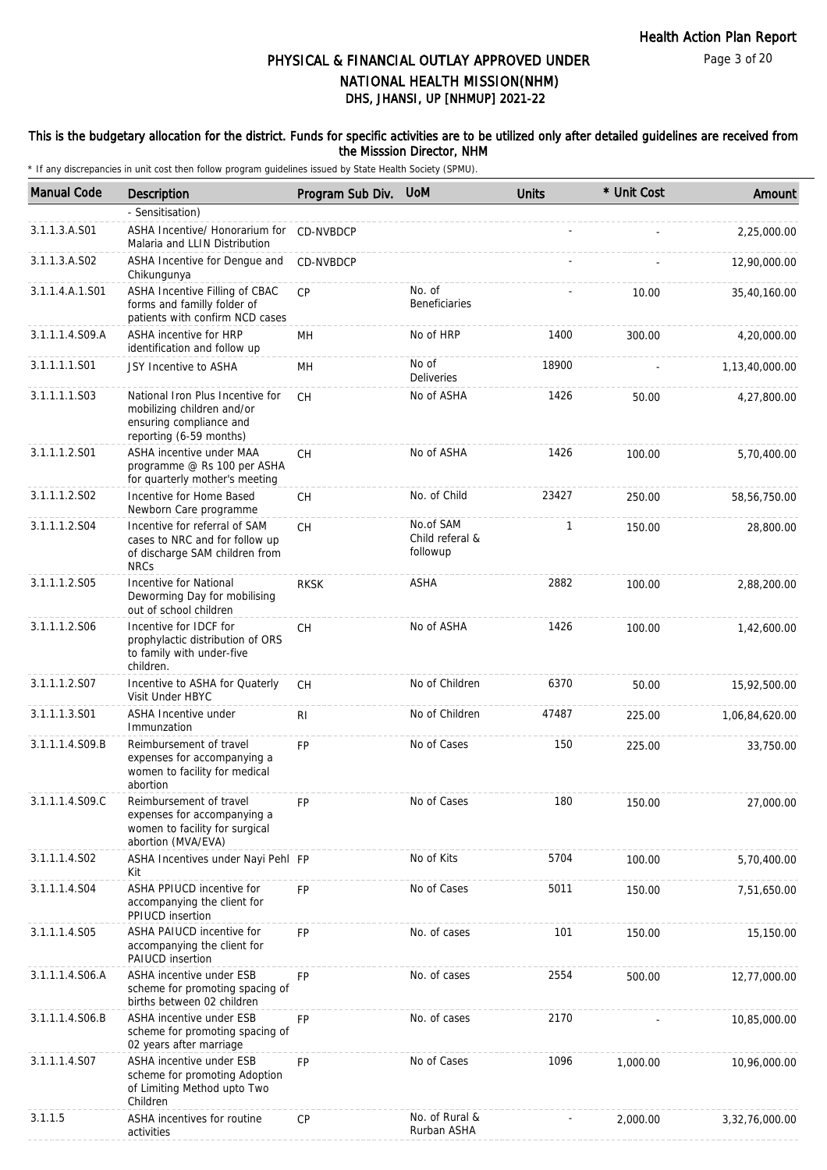Page 3 of 20

# DHS, JHANSI, UP [NHMUP] 2021-22 PHYSICAL & FINANCIAL OUTLAY APPROVED UNDER NATIONAL HEALTH MISSION(NHM)

## This is the budgetary allocation for the district. Funds for specific activities are to be utilized only after detailed guidelines are received from the Misssion Director, NHM

| <b>Manual Code</b> | Description                                                                                                          | Program Sub Div. | <b>UoM</b>                               | <b>Units</b> | * Unit Cost | Amount         |
|--------------------|----------------------------------------------------------------------------------------------------------------------|------------------|------------------------------------------|--------------|-------------|----------------|
|                    | - Sensitisation)                                                                                                     |                  |                                          |              |             |                |
| 3.1.1.3.A.S01      | ASHA Incentive/ Honorarium for<br>Malaria and LLIN Distribution                                                      | CD-NVBDCP        |                                          |              |             | 2,25,000.00    |
| 3.1.1.3.A.S02      | ASHA Incentive for Dengue and<br>Chikungunya                                                                         | <b>CD-NVBDCP</b> |                                          |              |             | 12,90,000.00   |
| 3.1.1.4.A.1.S01    | ASHA Incentive Filling of CBAC<br>forms and familly folder of<br>patients with confirm NCD cases                     | <b>CP</b>        | No. of<br>Beneficiaries                  |              | 10.00       | 35,40,160.00   |
| 3.1.1.1.4.S09.A    | <b>ASHA incentive for HRP</b><br>identification and follow up                                                        | MH               | No of HRP                                | 1400         | 300.00      | 4,20,000.00    |
| 3.1.1.1.1.S01      | JSY Incentive to ASHA                                                                                                | MH               | No of<br><b>Deliveries</b>               | 18900        |             | 1,13,40,000.00 |
| 3.1.1.1.1.S03      | National Iron Plus Incentive for<br>mobilizing children and/or<br>ensuring compliance and<br>reporting (6-59 months) | CH.              | No of ASHA                               | 1426         | 50.00       | 4,27,800.00    |
| 3.1.1.1.2.S01      | ASHA incentive under MAA<br>programme @ Rs 100 per ASHA<br>for quarterly mother's meeting                            | <b>CH</b>        | No of ASHA                               | 1426         | 100.00      | 5,70,400.00    |
| 3.1.1.1.2.S02      | Incentive for Home Based<br>Newborn Care programme                                                                   | СH               | No. of Child                             | 23427        | 250.00      | 58,56,750.00   |
| 3.1.1.1.2.S04      | Incentive for referral of SAM<br>cases to NRC and for follow up<br>of discharge SAM children from<br><b>NRCs</b>     | <b>CH</b>        | No.of SAM<br>Child referal &<br>followup | 1            | 150.00      | 28,800.00      |
| 3.1.1.1.2.S05      | Incentive for National<br>Deworming Day for mobilising<br>out of school children                                     | <b>RKSK</b>      | ASHA                                     | 2882         | 100.00      | 2,88,200.00    |
| 3.1.1.1.2.S06      | Incentive for IDCF for<br>prophylactic distribution of ORS<br>to family with under-five<br>children.                 | CH               | No of ASHA                               | 1426         | 100.00      | 1,42,600.00    |
| 3.1.1.1.2.S07      | Incentive to ASHA for Quaterly<br>Visit Under HBYC                                                                   | <b>CH</b>        | No of Children                           | 6370         | 50.00       | 15,92,500.00   |
| 3.1.1.1.3.S01      | ASHA Incentive under<br>Immunzation                                                                                  | RI               | No of Children                           | 47487        | 225.00      | 1,06,84,620.00 |
| 3.1.1.1.4.S09.B    | Reimbursement of travel<br>expenses for accompanying a<br>women to facility for medical<br>abortion                  | <b>FP</b>        | No of Cases                              | 150          | 225.00      | 33,750.00      |
| 3.1.1.1.4.S09.C    | Reimbursement of travel<br>expenses for accompanying a<br>women to facility for surgical<br>abortion (MVA/EVA)       | FP               | No of Cases                              | 180          | 150.00      | 27,000.00      |
| 3.1.1.1.4.S02      | ASHA Incentives under Nayi Pehl FP<br>Kit                                                                            |                  | No of Kits                               | 5704         | 100.00      | 5,70,400.00    |
| 3.1.1.1.4.S04      | ASHA PPIUCD incentive for<br>accompanying the client for<br>PPIUCD insertion                                         | <b>FP</b>        | No of Cases                              | 5011         | 150.00      | 7,51,650.00    |
| 3.1.1.1.4.S05      | ASHA PAIUCD incentive for<br>accompanying the client for<br>PAIUCD insertion                                         | <b>FP</b>        | No. of cases                             | 101          | 150.00      | 15,150.00      |
| 3.1.1.1.4.S06.A    | ASHA incentive under ESB<br>scheme for promoting spacing of<br>births between 02 children                            | <b>FP</b>        | No. of cases                             | 2554         | 500.00      | 12,77,000.00   |
| 3.1.1.1.4.S06.B    | ASHA incentive under ESB<br>scheme for promoting spacing of<br>02 years after marriage                               | <b>FP</b>        | No. of cases                             | 2170         |             | 10,85,000.00   |
| 3.1.1.1.4.S07      | ASHA incentive under ESB<br>scheme for promoting Adoption<br>of Limiting Method upto Two<br>Children                 | <b>FP</b>        | No of Cases                              | 1096         | 1,000.00    | 10,96,000.00   |
| 3.1.1.5            | ASHA incentives for routine<br>activities                                                                            | <b>CP</b>        | No. of Rural &<br>Rurban ASHA            |              | 2,000.00    | 3,32,76,000.00 |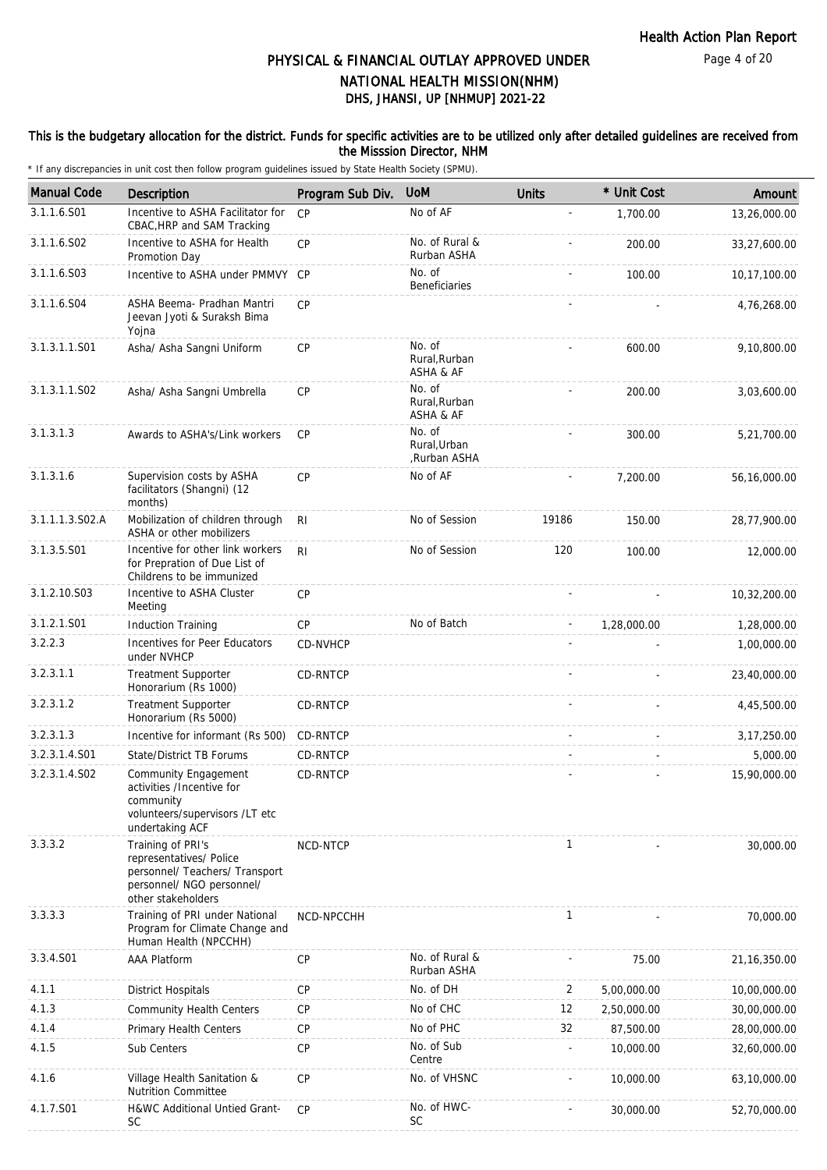## This is the budgetary allocation for the district. Funds for specific activities are to be utilized only after detailed guidelines are received from the Misssion Director, NHM

| <b>Manual Code</b> | Description                                                                                                                       | Program Sub Div. | <b>UoM</b>                             | <b>Units</b> | * Unit Cost | Amount         |
|--------------------|-----------------------------------------------------------------------------------------------------------------------------------|------------------|----------------------------------------|--------------|-------------|----------------|
| 3.1.1.6.S01        | Incentive to ASHA Facilitator for<br>CBAC, HRP and SAM Tracking                                                                   | CP               | No of AF                               | ÷,           | 1,700.00    | 13,26,000.00   |
| 3.1.1.6.S02        | Incentive to ASHA for Health<br>Promotion Day                                                                                     | CP               | No. of Rural &<br>Rurban ASHA          |              | 200.00      | 33,27,600.00   |
| 3.1.1.6.S03        | Incentive to ASHA under PMMVY CP                                                                                                  |                  | No. of<br>Beneficiaries                |              | 100.00      | 10,17,100.00   |
| 3.1.1.6.S04        | ASHA Beema- Pradhan Mantri<br>Jeevan Jyoti & Suraksh Bima<br>Yojna                                                                | CP               |                                        |              |             | 4,76,268.00    |
| 3.1.3.1.1.S01      | Asha/ Asha Sangni Uniform                                                                                                         | CP               | No. of<br>Rural, Rurban<br>ASHA & AF   |              | 600.00      | 9,10,800.00    |
| 3.1.3.1.1.S02      | Asha/ Asha Sangni Umbrella                                                                                                        | CP               | No. of<br>Rural, Rurban<br>ASHA & AF   |              | 200.00      | 3,03,600.00    |
| 3.1.3.1.3          | Awards to ASHA's/Link workers                                                                                                     | CP               | No. of<br>Rural, Urban<br>,Rurban ASHA |              | 300.00      | 5,21,700.00    |
| 3.1.3.1.6          | Supervision costs by ASHA<br>facilitators (Shangni) (12<br>months)                                                                | CP               | No of AF                               |              | 7,200.00    | 56,16,000.00   |
| 3.1.1.1.3.S02.A    | Mobilization of children through<br>ASHA or other mobilizers                                                                      | R <sub>l</sub>   | No of Session                          | 19186        | 150.00      | 28,77,900.00   |
| 3.1.3.5.S01        | Incentive for other link workers<br>for Prepration of Due List of<br>Childrens to be immunized                                    | R <sub>l</sub>   | No of Session                          | 120          | 100.00      | 12,000.00      |
| 3.1.2.10.S03       | Incentive to ASHA Cluster<br>Meeting                                                                                              | CP               |                                        |              |             | 10,32,200.00   |
| 3.1.2.1.S01        | <b>Induction Training</b>                                                                                                         | <b>CP</b>        | No of Batch                            |              | 1,28,000.00 | 1,28,000.00    |
| 3.2.2.3            | Incentives for Peer Educators<br>under NVHCP                                                                                      | CD-NVHCP         |                                        |              |             | 1,00,000.00    |
| 3.2.3.1.1          | <b>Treatment Supporter</b><br>Honorarium (Rs 1000)                                                                                | CD-RNTCP         |                                        |              |             | 23,40,000.00   |
| 3.2.3.1.2          | <b>Treatment Supporter</b><br>Honorarium (Rs 5000)                                                                                | CD-RNTCP         |                                        |              |             | 4,45,500.00    |
| 3.2.3.1.3          | Incentive for informant (Rs 500)                                                                                                  | CD-RNTCP         |                                        |              |             | 3, 17, 250.00  |
| 3.2.3.1.4.S01      | State/District TB Forums                                                                                                          | CD-RNTCP         |                                        |              |             | 5,000.00       |
| 3.2.3.1.4.S02      | Community Engagement<br>activities /Incentive for<br>community<br>volunteers/supervisors /LT etc<br>undertaking ACF               | CD-RNTCP         |                                        |              |             | 15,90,000.00   |
| 3.3.3.2            | Training of PRI's<br>representatives/ Police<br>personnel/ Teachers/ Transport<br>personnel/ NGO personnel/<br>other stakeholders | NCD-NTCP         |                                        | 1            |             | 30,000.00      |
| 3.3.3.3            | Training of PRI under National<br>Program for Climate Change and<br>Human Health (NPCCHH)                                         | NCD-NPCCHH       |                                        | $\mathbf{1}$ |             | 70,000.00      |
| 3.3.4.S01          | <b>AAA Platform</b>                                                                                                               | CP               | No. of Rural &<br>Rurban ASHA          |              | 75.00       | 21, 16, 350.00 |
| 4.1.1              | <b>District Hospitals</b>                                                                                                         | CP               | No. of DH                              | 2            | 5,00,000.00 | 10,00,000.00   |
| 4.1.3              | <b>Community Health Centers</b>                                                                                                   | CP               | No of CHC                              | 12           | 2,50,000.00 | 30,00,000.00   |
| 4.1.4              | Primary Health Centers                                                                                                            | <b>CP</b>        | No of PHC                              | 32           | 87,500.00   | 28,00,000.00   |
| 4.1.5              | Sub Centers                                                                                                                       | CP               | No. of Sub<br>Centre                   | -            | 10,000.00   | 32,60,000.00   |
| 4.1.6              | Village Health Sanitation &<br><b>Nutrition Committee</b>                                                                         | <b>CP</b>        | No. of VHSNC                           |              | 10,000.00   | 63,10,000.00   |
| 4.1.7.S01          | H&WC Additional Untied Grant-<br><b>SC</b>                                                                                        | <b>CP</b>        | No. of HWC-<br><b>SC</b>               |              | 30,000.00   | 52,70,000.00   |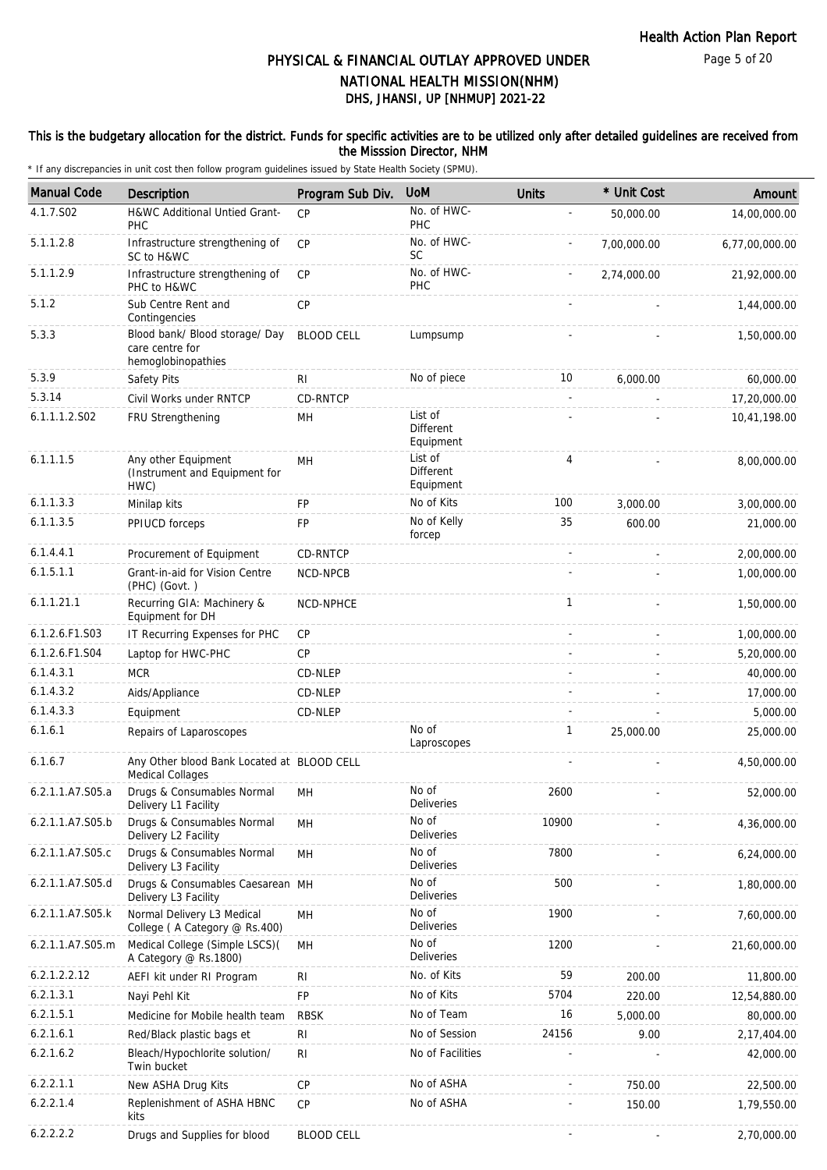## This is the budgetary allocation for the district. Funds for specific activities are to be utilized only after detailed guidelines are received from the Misssion Director, NHM

| <b>Manual Code</b> | <b>Description</b>                                                      | Program Sub Div.  | <b>UoM</b>                               | <b>Units</b> | * Unit Cost | Amount         |
|--------------------|-------------------------------------------------------------------------|-------------------|------------------------------------------|--------------|-------------|----------------|
| 4.1.7.S02          | H&WC Additional Untied Grant-<br><b>PHC</b>                             | CP                | No. of HWC-<br>PHC                       |              | 50,000.00   | 14,00,000.00   |
| 5.1.1.2.8          | Infrastructure strengthening of<br>SC to H&WC                           | CP                | No. of HWC-<br>SC                        |              | 7,00,000.00 | 6,77,00,000.00 |
| 5.1.1.2.9          | Infrastructure strengthening of<br>PHC to H&WC                          | <b>CP</b>         | No. of HWC-<br>PHC                       |              | 2,74,000.00 | 21,92,000.00   |
| 5.1.2              | Sub Centre Rent and<br>Contingencies                                    | CP                |                                          |              |             | 1,44,000.00    |
| 5.3.3              | Blood bank/ Blood storage/ Day<br>care centre for<br>hemoglobinopathies | <b>BLOOD CELL</b> | Lumpsump                                 |              |             | 1,50,000.00    |
| 5.3.9              | Safety Pits                                                             | R <sub>1</sub>    | No of piece                              | 10           | 6,000.00    | 60,000.00      |
| 5.3.14             | Civil Works under RNTCP                                                 | CD-RNTCP          |                                          |              |             | 17,20,000.00   |
| 6.1.1.1.2.S02      | FRU Strengthening                                                       | MН                | List of<br><b>Different</b><br>Equipment |              |             | 10,41,198.00   |
| 6.1.1.1.5          | Any other Equipment<br>(Instrument and Equipment for<br>HWC)            | MH                | List of<br>Different<br>Equipment        | 4            |             | 8,00,000.00    |
| 6.1.1.3.3          | Minilap kits                                                            | <b>FP</b>         | No of Kits                               | 100          | 3,000.00    | 3,00,000.00    |
| 6.1.1.3.5          | PPIUCD forceps                                                          | FP                | No of Kelly<br>forcep                    | 35           | 600.00      | 21,000.00      |
| 6.1.4.4.1          | Procurement of Equipment                                                | CD-RNTCP          |                                          |              |             | 2,00,000.00    |
| 6.1.5.1.1          | Grant-in-aid for Vision Centre<br>(PHC) (Govt.)                         | <b>NCD-NPCB</b>   |                                          |              |             | 1,00,000.00    |
| 6.1.1.21.1         | Recurring GIA: Machinery &<br>Equipment for DH                          | NCD-NPHCE         |                                          | $\mathbf{1}$ |             | 1,50,000.00    |
| 6.1.2.6.F1.S03     | IT Recurring Expenses for PHC                                           | CP                |                                          |              |             | 1,00,000.00    |
| 6.1.2.6.F1.S04     | Laptop for HWC-PHC                                                      | CP                |                                          |              |             | 5,20,000.00    |
| 6.1.4.3.1          | <b>MCR</b>                                                              | CD-NLEP           |                                          |              |             | 40,000.00      |
| 6.1.4.3.2          | Aids/Appliance                                                          | CD-NLEP           |                                          |              |             | 17,000.00      |
| 6.1.4.3.3          | Equipment                                                               | CD-NLEP           |                                          |              |             | 5,000.00       |
| 6.1.6.1            | Repairs of Laparoscopes                                                 |                   | No of<br>Laproscopes                     | $\mathbf{1}$ | 25,000.00   | 25,000.00      |
| 6.1.6.7            | Any Other blood Bank Located at BLOOD CELL<br><b>Medical Collages</b>   |                   |                                          |              |             | 4,50,000.00    |
| 6.2.1.1.A7.S05.a   | Drugs & Consumables Normal<br>Delivery L1 Facility                      | MН                | No of<br>Deliveries                      | 2600         |             | 52,000.00      |
| 6.2.1.1.A7.S05.b   | Drugs & Consumables Normal<br>Delivery L2 Facility                      | MH                | No of<br><b>Deliveries</b>               | 10900        |             | 4,36,000.00    |
| 6.2.1.1.A7.S05.c   | Drugs & Consumables Normal<br>Delivery L3 Facility                      | MH                | No of<br>Deliveries                      | 7800         |             | 6,24,000.00    |
| 6.2.1.1.A7.S05.d   | Drugs & Consumables Caesarean MH<br>Delivery L3 Facility                |                   | No of<br>Deliveries                      | 500          |             | 1,80,000.00    |
| 6.2.1.1.A7.S05.k   | Normal Delivery L3 Medical<br>College (A Category @ Rs.400)             | MH                | No of<br>Deliveries                      | 1900         |             | 7,60,000.00    |
| 6.2.1.1.A7.S05.m   | Medical College (Simple LSCS)(<br>A Category @ Rs.1800)                 | MН                | No of<br>Deliveries                      | 1200         |             | 21,60,000.00   |
| 6.2.1.2.2.12       | AEFI kit under RI Program                                               | RI                | No. of Kits                              | 59           | 200.00      | 11,800.00      |
| 6.2.1.3.1          | Nayi Pehl Kit                                                           | FP                | No of Kits                               | 5704         | 220.00      | 12,54,880.00   |
| 6.2.1.5.1          | Medicine for Mobile health team                                         | <b>RBSK</b>       | No of Team                               | 16           | 5,000.00    | 80,000.00      |
| 6.2.1.6.1          | Red/Black plastic bags et                                               | <b>RI</b>         | No of Session                            | 24156        | 9.00        | 2,17,404.00    |
| 6.2.1.6.2          | Bleach/Hypochlorite solution/<br>Twin bucket                            | R <sub>l</sub>    | No of Facilities                         |              |             | 42,000.00      |
| 6.2.2.1.1          | New ASHA Drug Kits                                                      | CP                | No of ASHA                               |              | 750.00      | 22,500.00      |
| 6.2.2.1.4          | Replenishment of ASHA HBNC<br>kits                                      | <b>CP</b>         | No of ASHA                               |              | 150.00      | 1,79,550.00    |
| 6.2.2.2.2          | Drugs and Supplies for blood                                            | <b>BLOOD CELL</b> |                                          |              |             | 2,70,000.00    |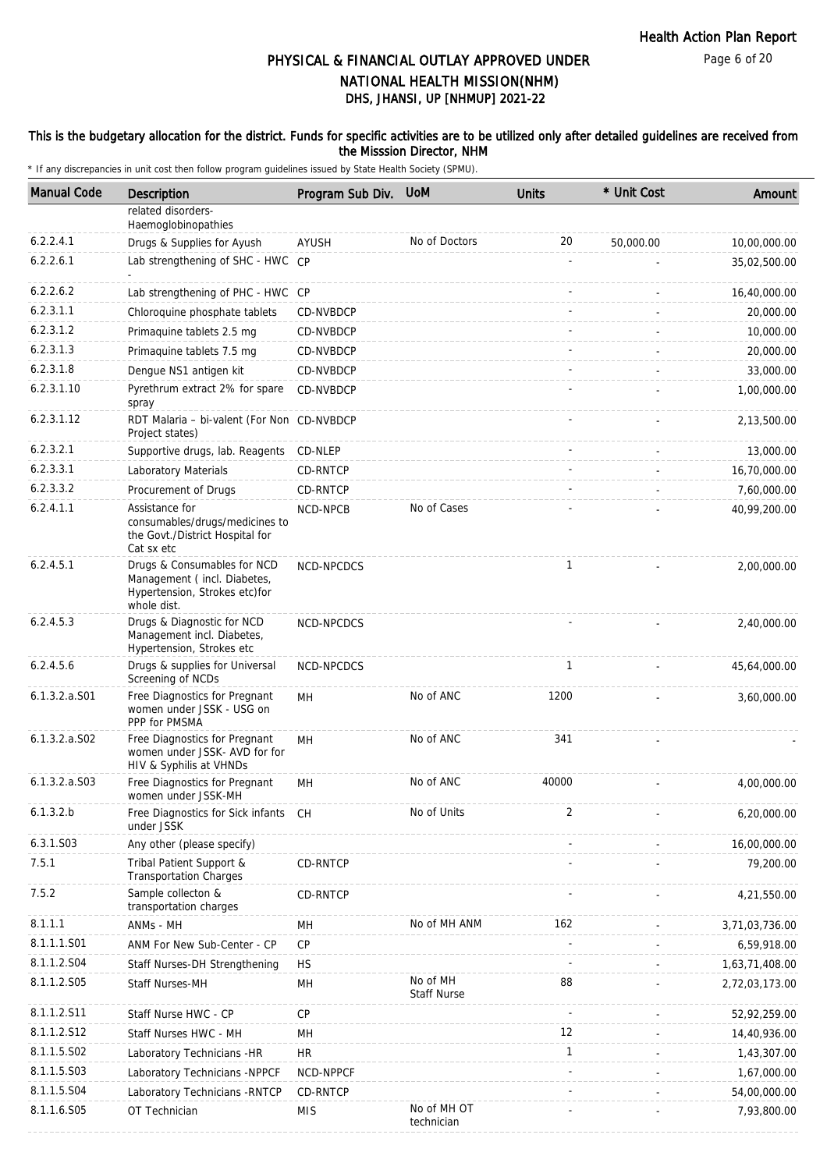Page 6 of 20

# DHS, JHANSI, UP [NHMUP] 2021-22 PHYSICAL & FINANCIAL OUTLAY APPROVED UNDER NATIONAL HEALTH MISSION(NHM)

## This is the budgetary allocation for the district. Funds for specific activities are to be utilized only after detailed guidelines are received from the Misssion Director, NHM

| 6.2.2.4.1<br>6.2.2.6.1<br>6.2.2.6.2<br>6.2.3.1.1<br>6.2.3.1.2<br>6.2.3.1.3<br>6.2.3.1.8 | related disorders-<br>Haemoglobinopathies<br>Drugs & Supplies for Ayush<br>Lab strengthening of SHC - HWC CP<br>Lab strengthening of PHC - HWC CP<br>Chloroquine phosphate tablets<br>Primaquine tablets 2.5 mg<br>Primaguine tablets 7.5 mg<br>Dengue NS1 antigen kit<br>Pyrethrum extract 2% for spare<br>spray | <b>AYUSH</b><br>CD-NVBDCP<br>CD-NVBDCP<br><b>CD-NVBDCP</b><br>CD-NVBDCP<br>CD-NVBDCP | No of Doctors             | 20           | 50,000.00 | 10,00,000.00<br>35,02,500.00<br>16,40,000.00 |
|-----------------------------------------------------------------------------------------|-------------------------------------------------------------------------------------------------------------------------------------------------------------------------------------------------------------------------------------------------------------------------------------------------------------------|--------------------------------------------------------------------------------------|---------------------------|--------------|-----------|----------------------------------------------|
|                                                                                         |                                                                                                                                                                                                                                                                                                                   |                                                                                      |                           |              |           |                                              |
|                                                                                         |                                                                                                                                                                                                                                                                                                                   |                                                                                      |                           |              |           |                                              |
|                                                                                         |                                                                                                                                                                                                                                                                                                                   |                                                                                      |                           |              |           |                                              |
|                                                                                         |                                                                                                                                                                                                                                                                                                                   |                                                                                      |                           |              |           |                                              |
|                                                                                         |                                                                                                                                                                                                                                                                                                                   |                                                                                      |                           |              |           | 20,000.00                                    |
|                                                                                         |                                                                                                                                                                                                                                                                                                                   |                                                                                      |                           |              |           | 10,000.00                                    |
|                                                                                         |                                                                                                                                                                                                                                                                                                                   |                                                                                      |                           |              |           | 20,000.00                                    |
|                                                                                         |                                                                                                                                                                                                                                                                                                                   |                                                                                      |                           |              |           | 33,000.00                                    |
| 6.2.3.1.10                                                                              |                                                                                                                                                                                                                                                                                                                   |                                                                                      |                           |              |           | 1,00,000.00                                  |
| 6.2.3.1.12                                                                              | RDT Malaria - bi-valent (For Non CD-NVBDCP<br>Project states)                                                                                                                                                                                                                                                     |                                                                                      |                           |              |           | 2,13,500.00                                  |
| 6.2.3.2.1                                                                               | Supportive drugs, lab. Reagents                                                                                                                                                                                                                                                                                   | CD-NLEP                                                                              |                           |              |           | 13,000.00                                    |
| 6.2.3.3.1                                                                               | Laboratory Materials                                                                                                                                                                                                                                                                                              | CD-RNTCP                                                                             |                           |              |           | 16,70,000.00                                 |
| 6.2.3.3.2                                                                               | Procurement of Drugs                                                                                                                                                                                                                                                                                              | CD-RNTCP                                                                             |                           |              |           | 7,60,000.00                                  |
| 6.2.4.1.1                                                                               | Assistance for<br>consumables/drugs/medicines to<br>the Govt./District Hospital for<br>Cat sx etc                                                                                                                                                                                                                 | NCD-NPCB                                                                             | No of Cases               |              |           | 40,99,200.00                                 |
| 6.2.4.5.1                                                                               | Drugs & Consumables for NCD<br>Management (incl. Diabetes,<br>Hypertension, Strokes etc)for<br>whole dist.                                                                                                                                                                                                        | NCD-NPCDCS                                                                           |                           | $\mathbf{1}$ |           | 2,00,000.00                                  |
| 6.2.4.5.3                                                                               | Drugs & Diagnostic for NCD<br>Management incl. Diabetes,<br>Hypertension, Strokes etc                                                                                                                                                                                                                             | NCD-NPCDCS                                                                           |                           |              |           | 2,40,000.00                                  |
| 6.2.4.5.6                                                                               | Drugs & supplies for Universal<br>Screening of NCDs                                                                                                                                                                                                                                                               | NCD-NPCDCS                                                                           |                           | $\mathbf{1}$ |           | 45,64,000.00                                 |
| 6.1.3.2.a.S01                                                                           | Free Diagnostics for Pregnant<br>women under JSSK - USG on<br>PPP for PMSMA                                                                                                                                                                                                                                       | MH                                                                                   | No of ANC                 | 1200         |           | 3,60,000.00                                  |
| 6.1.3.2.a.S02                                                                           | Free Diagnostics for Pregnant<br>women under JSSK- AVD for for<br>HIV & Syphilis at VHNDs                                                                                                                                                                                                                         | MH                                                                                   | No of ANC                 | 341          |           |                                              |
| 6.1.3.2.a.S03                                                                           | Free Diagnostics for Pregnant<br>women under JSSK-MH                                                                                                                                                                                                                                                              | MН                                                                                   | No of ANC                 | 40000        |           | 4,00,000.00                                  |
| 6.1.3.2.b                                                                               | Free Diagnostics for Sick infants CH<br>under JSSK                                                                                                                                                                                                                                                                |                                                                                      | No of Units               | 2            |           | 6,20,000.00                                  |
| 6.3.1.S03                                                                               | Any other (please specify)                                                                                                                                                                                                                                                                                        |                                                                                      |                           |              |           | 16,00,000.00                                 |
| 7.5.1                                                                                   | Tribal Patient Support &<br>Transportation Charges                                                                                                                                                                                                                                                                | CD-RNTCP                                                                             |                           |              |           | 79,200.00                                    |
| 7.5.2                                                                                   | Sample collecton &<br>transportation charges                                                                                                                                                                                                                                                                      | CD-RNTCP                                                                             |                           |              |           | 4,21,550.00                                  |
| 8.1.1.1                                                                                 | ANMs - MH                                                                                                                                                                                                                                                                                                         | MН                                                                                   | No of MH ANM              | 162          |           | 3,71,03,736.00                               |
| 8.1.1.1.S01                                                                             | ANM For New Sub-Center - CP                                                                                                                                                                                                                                                                                       | <b>CP</b>                                                                            |                           |              |           | 6,59,918.00                                  |
| 8.1.1.2.S04                                                                             | Staff Nurses-DH Strengthening                                                                                                                                                                                                                                                                                     | <b>HS</b>                                                                            |                           |              |           | 1,63,71,408.00                               |
| 8.1.1.2.S05                                                                             | Staff Nurses-MH                                                                                                                                                                                                                                                                                                   | MH                                                                                   | No of MH<br>Staff Nurse   | 88           |           | 2,72,03,173.00                               |
| 8.1.1.2.S11                                                                             | Staff Nurse HWC - CP                                                                                                                                                                                                                                                                                              | CP                                                                                   |                           |              |           | 52,92,259.00                                 |
| 8.1.1.2.S12                                                                             | Staff Nurses HWC - MH                                                                                                                                                                                                                                                                                             | MН                                                                                   |                           | 12           |           | 14,40,936.00                                 |
| 8.1.1.5.S02                                                                             | Laboratory Technicians -HR                                                                                                                                                                                                                                                                                        | <b>HR</b>                                                                            |                           | $\mathbf{1}$ |           | 1,43,307.00                                  |
| 8.1.1.5.S03                                                                             | Laboratory Technicians -NPPCF                                                                                                                                                                                                                                                                                     | NCD-NPPCF                                                                            |                           |              |           | 1,67,000.00                                  |
| 8.1.1.5.S04                                                                             | Laboratory Technicians - RNTCP                                                                                                                                                                                                                                                                                    | CD-RNTCP                                                                             |                           |              |           | 54,00,000.00                                 |
| 8.1.1.6.S05                                                                             | OT Technician                                                                                                                                                                                                                                                                                                     | <b>MIS</b>                                                                           | No of MH OT<br>technician |              |           | 7,93,800.00                                  |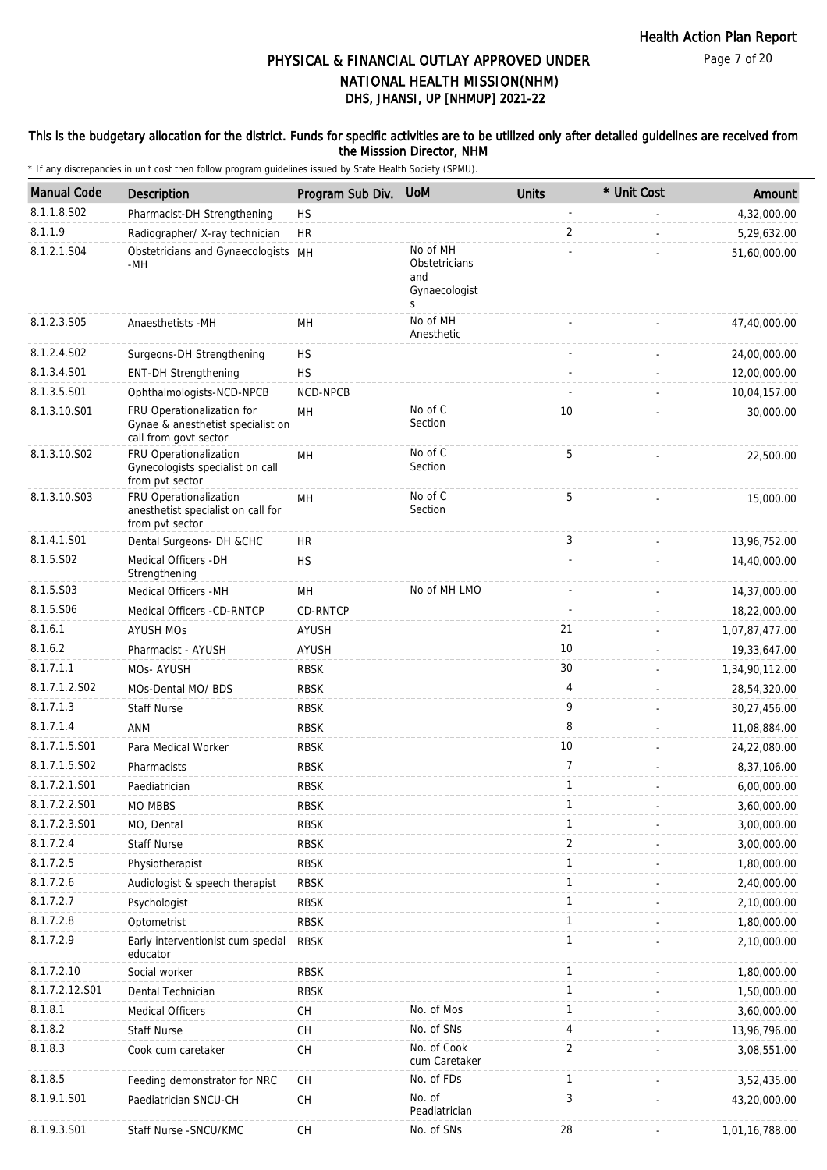## This is the budgetary allocation for the district. Funds for specific activities are to be utilized only after detailed guidelines are received from the Misssion Director, NHM

| <b>Manual Code</b>     | Description                                                                              | Program Sub Div.           | <b>UoM</b>                                             | <b>Units</b>      | * Unit Cost | Amount                     |
|------------------------|------------------------------------------------------------------------------------------|----------------------------|--------------------------------------------------------|-------------------|-------------|----------------------------|
| 8.1.1.8.S02            | Pharmacist-DH Strengthening                                                              | <b>HS</b>                  |                                                        |                   |             | 4,32,000.00                |
| 8.1.1.9                | Radiographer/ X-ray technician                                                           | <b>HR</b>                  |                                                        | 2                 |             | 5,29,632.00                |
| 8.1.2.1.S04            | Obstetricians and Gynaecologists MH<br>-MH                                               |                            | No of MH<br>Obstetricians<br>and<br>Gynaecologist<br>S |                   |             | 51,60,000.00               |
| 8.1.2.3.S05            | Anaesthetists -MH                                                                        | MН                         | No of MH<br>Anesthetic                                 |                   |             | 47,40,000.00               |
| 8.1.2.4.SO2            | Surgeons-DH Strengthening                                                                | <b>HS</b>                  |                                                        |                   |             | 24,00,000.00               |
| 8.1.3.4.S01            | <b>ENT-DH Strengthening</b>                                                              | <b>HS</b>                  |                                                        |                   |             | 12,00,000.00               |
| 8.1.3.5.S01            | Ophthalmologists-NCD-NPCB                                                                | <b>NCD-NPCB</b>            |                                                        |                   |             | 10,04,157.00               |
| 8.1.3.10.S01           | FRU Operationalization for<br>Gynae & anesthetist specialist on<br>call from govt sector | MH                         | No of C<br>Section                                     | 10                |             | 30,000.00                  |
| 8.1.3.10.S02           | FRU Operationalization<br>Gynecologists specialist on call<br>from pvt sector            | <b>MH</b>                  | No of C<br>Section                                     | 5                 |             | 22,500.00                  |
| 8.1.3.10.S03           | FRU Operationalization<br>anesthetist specialist on call for<br>from pvt sector          | MН                         | No of C<br>Section                                     | 5                 |             | 15,000.00                  |
| 8.1.4.1.S01            | Dental Surgeons- DH &CHC                                                                 | <b>HR</b>                  |                                                        | 3                 |             | 13,96,752.00               |
| 8.1.5.S02              | Medical Officers - DH<br>Strengthening                                                   | <b>HS</b>                  |                                                        |                   |             | 14,40,000.00               |
| 8.1.5.S03              | Medical Officers - MH                                                                    | MН                         | No of MH LMO                                           |                   |             | 14,37,000.00               |
| 8.1.5.S06              | Medical Officers -CD-RNTCP                                                               | CD-RNTCP                   |                                                        |                   |             | 18,22,000.00               |
| 8.1.6.1                | <b>AYUSH MOS</b>                                                                         | AYUSH                      |                                                        | 21                |             | 1,07,87,477.00             |
| 8.1.6.2                | Pharmacist - AYUSH                                                                       | AYUSH                      |                                                        | 10                |             | 19,33,647.00               |
| 8.1.7.1.1              | MOs-AYUSH                                                                                | <b>RBSK</b>                |                                                        | 30                |             | 1,34,90,112.00             |
| 8.1.7.1.2.S02          | MOs-Dental MO/ BDS                                                                       | <b>RBSK</b>                |                                                        | 4                 |             | 28,54,320.00               |
| 8.1.7.1.3              | <b>Staff Nurse</b>                                                                       | <b>RBSK</b>                |                                                        | 9                 |             | 30,27,456.00               |
| 8.1.7.1.4              | ANM                                                                                      | <b>RBSK</b>                |                                                        | 8                 |             | 11,08,884.00               |
| 8.1.7.1.5.S01          | Para Medical Worker                                                                      | <b>RBSK</b>                |                                                        | 10                |             | 24,22,080.00               |
| 8.1.7.1.5.S02          | Pharmacists                                                                              | <b>RBSK</b>                |                                                        | 7                 |             | 8,37,106.00                |
| 8.1.7.2.1.S01          | Paediatrician                                                                            | <b>RBSK</b>                |                                                        | 1                 |             | 6,00,000.00                |
| 8.1.7.2.2.S01          | MO MBBS                                                                                  | <b>RBSK</b>                |                                                        |                   |             | 3,60,000.00                |
| 8.1.7.2.3.S01          | MO, Dental                                                                               | <b>RBSK</b>                |                                                        | $\mathbf{1}$      |             | 3,00,000.00                |
| 8.1.7.2.4              | <b>Staff Nurse</b>                                                                       | <b>RBSK</b>                |                                                        | $\overline{a}$    |             | 3,00,000.00                |
| 8.1.7.2.5              | Physiotherapist                                                                          | <b>RBSK</b>                |                                                        | 1                 |             | 1,80,000.00                |
| 8.1.7.2.6<br>8.1.7.2.7 | Audiologist & speech therapist                                                           | <b>RBSK</b>                |                                                        | 1<br>$\mathbf{1}$ |             | 2,40,000.00                |
|                        | Psychologist                                                                             | <b>RBSK</b>                |                                                        | 1                 |             | 2,10,000.00                |
| 8.1.7.2.8<br>8.1.7.2.9 | Optometrist<br>Early interventionist cum special<br>educator                             | <b>RBSK</b><br><b>RBSK</b> |                                                        | 1                 |             | 1,80,000.00<br>2,10,000.00 |
| 8.1.7.2.10             | Social worker                                                                            | <b>RBSK</b>                |                                                        | 1                 |             | 1,80,000.00                |
| 8.1.7.2.12.S01         | Dental Technician                                                                        | <b>RBSK</b>                |                                                        | 1                 |             | 1,50,000.00                |
| 8.1.8.1                | <b>Medical Officers</b>                                                                  | CH                         | No. of Mos                                             | 1                 |             | 3,60,000.00                |
| 8.1.8.2                | <b>Staff Nurse</b>                                                                       | <b>CH</b>                  | No. of SNs                                             | 4                 |             | 13,96,796.00               |
| 8.1.8.3                | Cook cum caretaker                                                                       | <b>CH</b>                  | No. of Cook<br>cum Caretaker                           | $\overline{2}$    |             | 3,08,551.00                |
| 8.1.8.5                | Feeding demonstrator for NRC                                                             | <b>CH</b>                  | No. of FDs                                             | 1                 |             | 3,52,435.00                |
| 8.1.9.1.S01            | Paediatrician SNCU-CH                                                                    | <b>CH</b>                  | No. of<br>Peadiatrician                                | 3                 |             | 43,20,000.00               |
| 8.1.9.3.S01            | Staff Nurse - SNCU/KMC                                                                   | <b>CH</b>                  | No. of SNs                                             | 28                |             | 1,01,16,788.00             |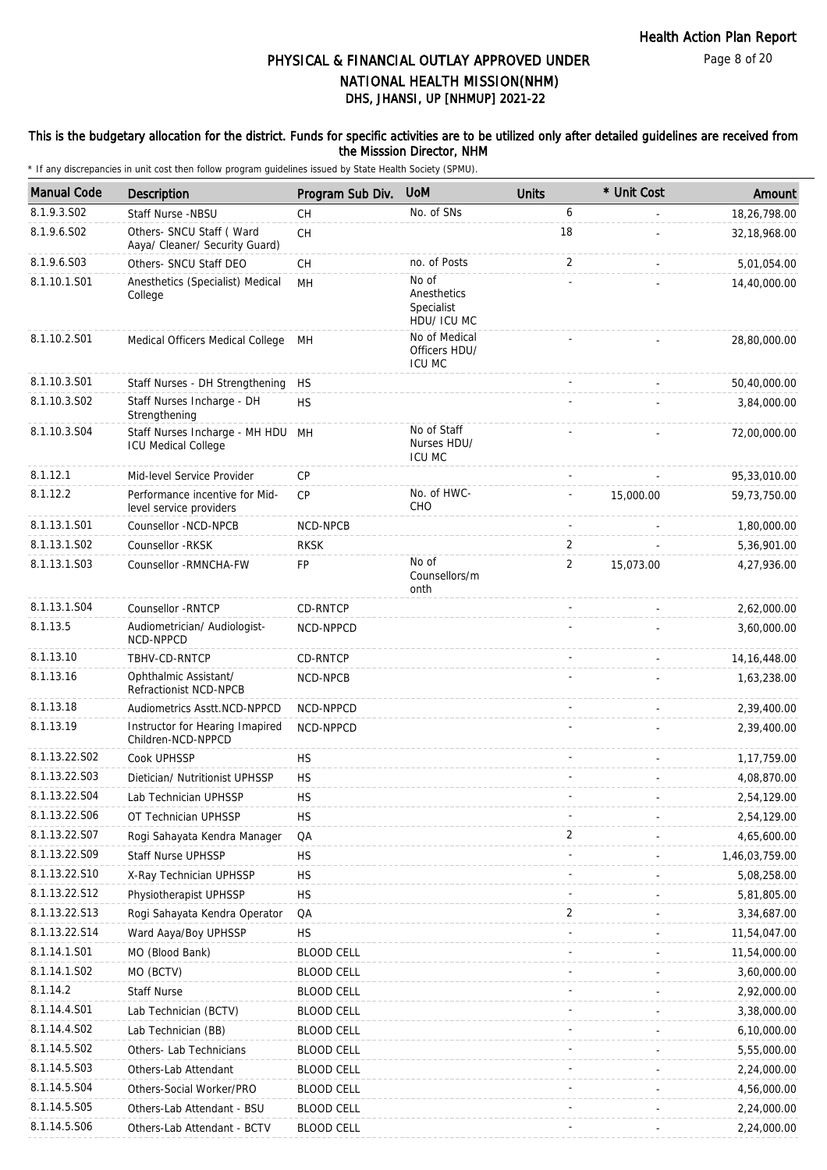## This is the budgetary allocation for the district. Funds for specific activities are to be utilized only after detailed guidelines are received from the Misssion Director, NHM

| <b>Manual Code</b> | Description                                                  | Program Sub Div.  | <b>UoM</b>                                        | <b>Units</b>   | * Unit Cost | Amount         |
|--------------------|--------------------------------------------------------------|-------------------|---------------------------------------------------|----------------|-------------|----------------|
| 8.1.9.3.SO2        | Staff Nurse -NBSU                                            | CH                | No. of SNs                                        | 6              |             | 18,26,798.00   |
| 8.1.9.6.S02        | Others- SNCU Staff (Ward<br>Aaya/ Cleaner/ Security Guard)   | <b>CH</b>         |                                                   | 18             |             | 32,18,968.00   |
| 8.1.9.6.S03        | Others- SNCU Staff DEO                                       | CH                | no. of Posts                                      | 2              |             | 5,01,054.00    |
| 8.1.10.1.S01       | Anesthetics (Specialist) Medical<br>College                  | MH                | No of<br>Anesthetics<br>Specialist<br>HDU/ ICU MC |                |             | 14,40,000.00   |
| 8.1.10.2.S01       | Medical Officers Medical College                             | MН                | No of Medical<br>Officers HDU/<br><b>ICU MC</b>   |                |             | 28,80,000.00   |
| 8.1.10.3.S01       | Staff Nurses - DH Strengthening                              | HS                |                                                   |                |             | 50,40,000.00   |
| 8.1.10.3.S02       | Staff Nurses Incharge - DH<br>Strengthening                  | <b>HS</b>         |                                                   |                |             | 3,84,000.00    |
| 8.1.10.3.S04       | Staff Nurses Incharge - MH HDU<br><b>ICU Medical College</b> | MH                | No of Staff<br>Nurses HDU/<br><b>ICU MC</b>       |                |             | 72,00,000.00   |
| 8.1.12.1           | Mid-level Service Provider                                   | CP                |                                                   |                |             | 95,33,010.00   |
| 8.1.12.2           | Performance incentive for Mid-<br>level service providers    | CP                | No. of HWC-<br><b>CHO</b>                         |                | 15,000.00   | 59,73,750.00   |
| 8.1.13.1.S01       | Counsellor -NCD-NPCB                                         | NCD-NPCB          |                                                   |                |             | 1,80,000.00    |
| 8.1.13.1.S02       | Counsellor - RKSK                                            | <b>RKSK</b>       |                                                   | 2              |             | 5,36,901.00    |
| 8.1.13.1.S03       | Counsellor - RMNCHA-FW                                       | FP                | No of<br>Counsellors/m<br>onth                    | 2              | 15,073.00   | 4,27,936.00    |
| 8.1.13.1.S04       | Counsellor - RNTCP                                           | CD-RNTCP          |                                                   |                |             | 2,62,000.00    |
| 8.1.13.5           | Audiometrician/ Audiologist-<br>NCD-NPPCD                    | NCD-NPPCD         |                                                   |                |             | 3,60,000.00    |
| 8.1.13.10          | TBHV-CD-RNTCP                                                | <b>CD-RNTCP</b>   |                                                   |                |             | 14, 16, 448.00 |
| 8.1.13.16          | Ophthalmic Assistant/<br>Refractionist NCD-NPCB              | NCD-NPCB          |                                                   |                |             | 1,63,238.00    |
| 8.1.13.18          | Audiometrics Asstt.NCD-NPPCD                                 | NCD-NPPCD         |                                                   |                |             | 2,39,400.00    |
| 8.1.13.19          | Instructor for Hearing Imapired<br>Children-NCD-NPPCD        | NCD-NPPCD         |                                                   |                |             | 2.39.400.00    |
| 8.1.13.22.S02      | Cook UPHSSP                                                  | <b>HS</b>         |                                                   | $\sim$         |             | 1,17,759.00    |
| 8.1.13.22.S03      | Dietician/ Nutritionist UPHSSP                               | <b>HS</b>         |                                                   |                |             | 4,08,870.00    |
| 8.1.13.22.S04      | Lab Technician UPHSSP                                        | <b>HS</b>         |                                                   |                |             | 2,54,129.00    |
| 8.1.13.22.S06      | OT Technician UPHSSP                                         | НS                |                                                   |                |             | 2,54,129.00    |
| 8.1.13.22.S07      | Rogi Sahayata Kendra Manager                                 | QA                |                                                   | $\overline{2}$ |             | 4,65,600.00    |
| 8.1.13.22.S09      | <b>Staff Nurse UPHSSP</b>                                    | <b>HS</b>         |                                                   |                |             | 1,46,03,759.00 |
| 8.1.13.22.S10      | X-Ray Technician UPHSSP                                      | <b>HS</b>         |                                                   |                |             | 5,08,258.00    |
| 8.1.13.22.S12      | Physiotherapist UPHSSP                                       | <b>HS</b>         |                                                   |                |             | 5,81,805.00    |
| 8.1.13.22.S13      | Rogi Sahayata Kendra Operator                                | QA                |                                                   | 2              |             | 3,34,687.00    |
| 8.1.13.22.S14      | Ward Aaya/Boy UPHSSP                                         | HS                |                                                   |                |             | 11,54,047.00   |
| 8.1.14.1.S01       | MO (Blood Bank)                                              | <b>BLOOD CELL</b> |                                                   |                |             | 11,54,000.00   |
| 8.1.14.1.S02       | MO (BCTV)                                                    | <b>BLOOD CELL</b> |                                                   |                |             | 3,60,000.00    |
| 8.1.14.2           | <b>Staff Nurse</b>                                           | <b>BLOOD CELL</b> |                                                   |                |             | 2,92,000.00    |
| 8.1.14.4.S01       | Lab Technician (BCTV)                                        | <b>BLOOD CELL</b> |                                                   |                |             | 3,38,000.00    |
| 8.1.14.4.S02       | Lab Technician (BB)                                          | <b>BLOOD CELL</b> |                                                   |                |             | 6,10,000.00    |
| 8.1.14.5.S02       | Others- Lab Technicians                                      | <b>BLOOD CELL</b> |                                                   |                |             | 5,55,000.00    |
| 8.1.14.5.S03       | Others-Lab Attendant                                         | <b>BLOOD CELL</b> |                                                   |                |             | 2,24,000.00    |
| 8.1.14.5.S04       | Others-Social Worker/PRO                                     | <b>BLOOD CELL</b> |                                                   |                |             | 4,56,000.00    |
| 8.1.14.5.S05       | Others-Lab Attendant - BSU                                   | <b>BLOOD CELL</b> |                                                   |                |             | 2,24,000.00    |
| 8.1.14.5.S06       | Others-Lab Attendant - BCTV                                  | <b>BLOOD CELL</b> |                                                   |                |             | 2,24,000.00    |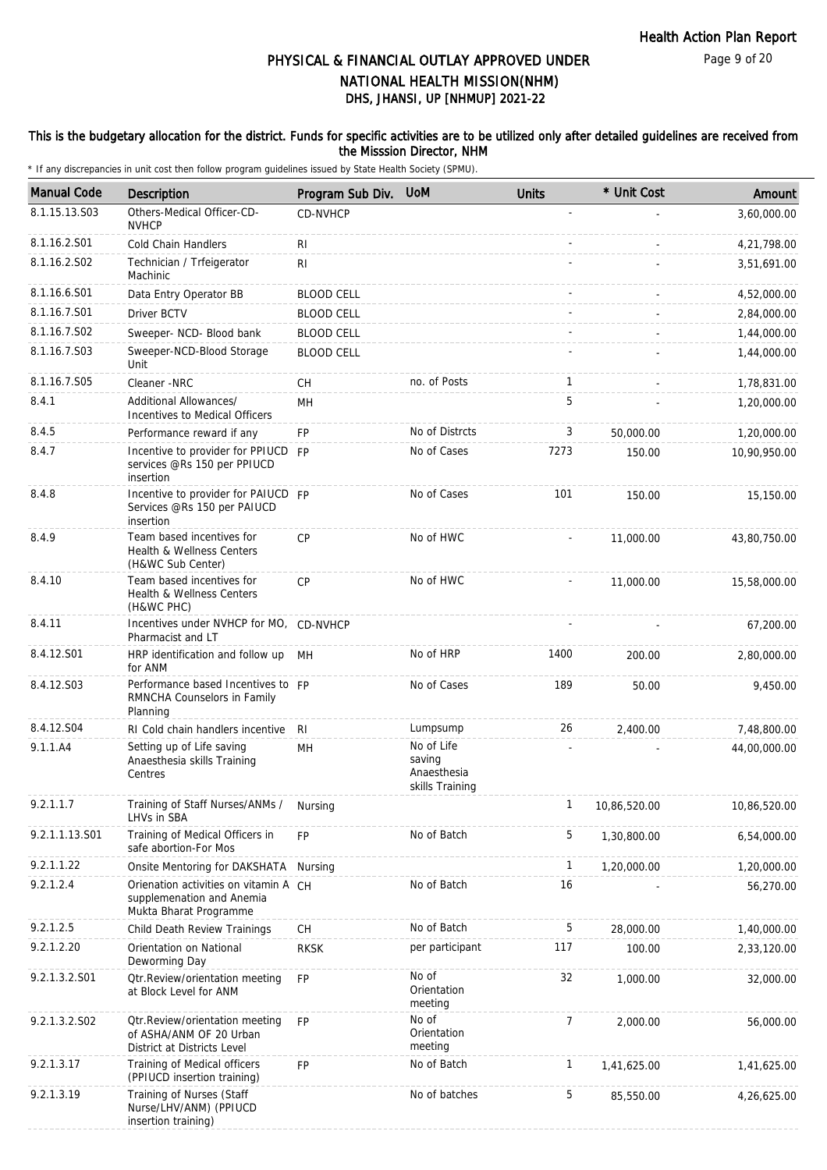## This is the budgetary allocation for the district. Funds for specific activities are to be utilized only after detailed guidelines are received from the Misssion Director, NHM

| <b>Manual Code</b> | Description                                                                                  | Program Sub Div.  | <b>UoM</b>                                             | <b>Units</b>   | * Unit Cost  | Amount       |
|--------------------|----------------------------------------------------------------------------------------------|-------------------|--------------------------------------------------------|----------------|--------------|--------------|
| 8.1.15.13.S03      | Others-Medical Officer-CD-<br><b>NVHCP</b>                                                   | <b>CD-NVHCP</b>   |                                                        |                |              | 3,60,000.00  |
| 8.1.16.2.S01       | Cold Chain Handlers                                                                          | RI                |                                                        |                |              | 4,21,798.00  |
| 8.1.16.2.S02       | Technician / Trfeigerator<br>Machinic                                                        | R <sub>1</sub>    |                                                        |                |              | 3,51,691.00  |
| 8.1.16.6.S01       | Data Entry Operator BB                                                                       | <b>BLOOD CELL</b> |                                                        |                |              | 4,52,000.00  |
| 8.1.16.7.S01       | <b>Driver BCTV</b>                                                                           | <b>BLOOD CELL</b> |                                                        |                |              | 2,84,000.00  |
| 8.1.16.7.S02       | Sweeper- NCD- Blood bank                                                                     | <b>BLOOD CELL</b> |                                                        |                |              | 1,44,000.00  |
| 8.1.16.7.S03       | Sweeper-NCD-Blood Storage<br>Unit                                                            | <b>BLOOD CELL</b> |                                                        |                |              | 1,44,000.00  |
| 8.1.16.7.S05       | Cleaner -NRC                                                                                 | CH                | no. of Posts                                           | $\mathbf{1}$   |              | 1,78,831.00  |
| 8.4.1              | Additional Allowances/<br>Incentives to Medical Officers                                     | MН                |                                                        | 5              |              | 1,20,000.00  |
| 8.4.5              | Performance reward if any                                                                    | FP                | No of Distrcts                                         | 3              | 50,000.00    | 1,20,000.00  |
| 8.4.7              | Incentive to provider for PPIUCD FP<br>services @Rs 150 per PPIUCD<br>insertion              |                   | No of Cases                                            | 7273           | 150.00       | 10,90,950.00 |
| 8.4.8              | Incentive to provider for PAIUCD FP<br>Services @Rs 150 per PAIUCD<br>insertion              |                   | No of Cases                                            | 101            | 150.00       | 15,150.00    |
| 8.4.9              | Team based incentives for<br>Health & Wellness Centers<br>(H&WC Sub Center)                  | CP                | No of HWC                                              |                | 11,000.00    | 43,80,750.00 |
| 8.4.10             | Team based incentives for<br>Health & Wellness Centers<br>(H&WC PHC)                         | CP                | No of HWC                                              |                | 11,000.00    | 15,58,000.00 |
| 8.4.11             | Incentives under NVHCP for MO, CD-NVHCP<br>Pharmacist and LT                                 |                   |                                                        |                |              | 67,200.00    |
| 8.4.12.S01         | HRP identification and follow up MH<br>for ANM                                               |                   | No of HRP                                              | 1400           | 200.00       | 2,80,000.00  |
| 8.4.12.S03         | Performance based Incentives to FP<br>RMNCHA Counselors in Family<br>Planning                |                   | No of Cases                                            | 189            | 50.00        | 9,450.00     |
| 8.4.12.S04         | RI Cold chain handlers incentive                                                             | -RI               | Lumpsump                                               | 26             | 2,400.00     | 7,48,800.00  |
| 9.1.1.A4           | Setting up of Life saving<br>Anaesthesia skills Training<br>Centres                          | MH                | No of Life<br>saving<br>Anaesthesia<br>skills Training |                |              | 44,00,000.00 |
| 9.2.1.1.7          | Training of Staff Nurses/ANMs /<br>LHVs in SBA                                               | Nursing           |                                                        | 1              | 10,86,520.00 | 10,86,520.00 |
| 9.2.1.1.13.S01     | Training of Medical Officers in<br>safe abortion-For Mos                                     | <b>FP</b>         | No of Batch                                            | 5              | 1,30,800.00  | 6,54,000.00  |
| 9.2.1.1.22         | Onsite Mentoring for DAKSHATA                                                                | Nursing           |                                                        | $\mathbf{1}$   | 1,20,000.00  | 1,20,000.00  |
| 9.2.1.2.4          | Orienation activities on vitamin A CH<br>supplemenation and Anemia<br>Mukta Bharat Programme |                   | No of Batch                                            | 16             |              | 56,270.00    |
| 9.2.1.2.5          | Child Death Review Trainings                                                                 | СH                | No of Batch                                            | 5              | 28,000.00    | 1,40,000.00  |
| 9.2.1.2.20         | Orientation on National<br>Deworming Day                                                     | <b>RKSK</b>       | per participant                                        | 117            | 100.00       | 2,33,120.00  |
| 9.2.1.3.2.S01      | Otr.Review/orientation meeting<br>at Block Level for ANM                                     | <b>FP</b>         | No of<br>Orientation<br>meeting                        | 32             | 1,000.00     | 32,000.00    |
| 9.2.1.3.2.S02      | Otr. Review/orientation meeting<br>of ASHA/ANM OF 20 Urban<br>District at Districts Level    | <b>FP</b>         | No of<br>Orientation<br>meeting                        | $\overline{7}$ | 2,000.00     | 56,000.00    |
| 9.2.1.3.17         | Training of Medical officers<br>(PPIUCD insertion training)                                  | <b>FP</b>         | No of Batch                                            | $\mathbf{1}$   | 1,41,625.00  | 1,41,625.00  |
| 9.2.1.3.19         | Training of Nurses (Staff<br>Nurse/LHV/ANM) (PPIUCD<br>insertion training)                   |                   | No of batches                                          | 5              | 85,550.00    | 4,26,625.00  |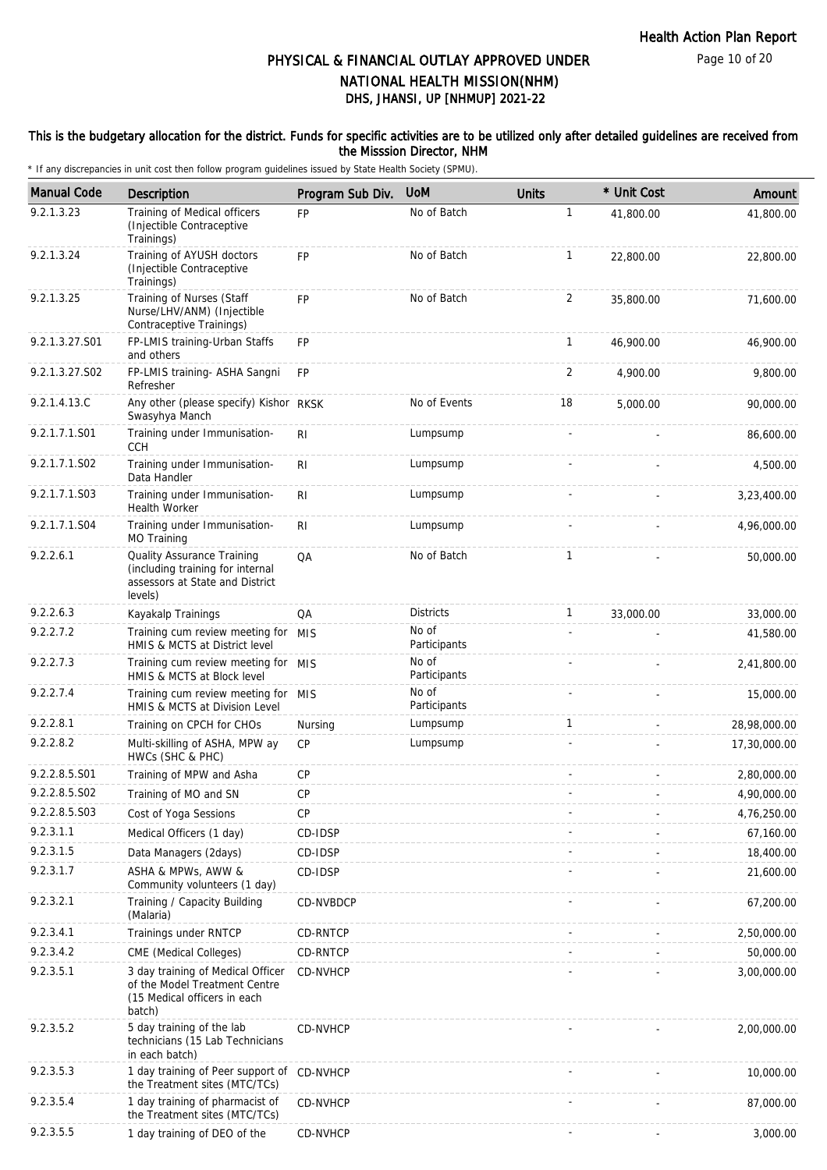Page 10 of 20

# DHS, JHANSI, UP [NHMUP] 2021-22 PHYSICAL & FINANCIAL OUTLAY APPROVED UNDER NATIONAL HEALTH MISSION(NHM)

## This is the budgetary allocation for the district. Funds for specific activities are to be utilized only after detailed guidelines are received from the Misssion Director, NHM

| <b>Manual Code</b> | Description                                                                                                  | Program Sub Div. | <b>UoM</b>            | <b>Units</b>   | * Unit Cost | Amount       |
|--------------------|--------------------------------------------------------------------------------------------------------------|------------------|-----------------------|----------------|-------------|--------------|
| 9.2.1.3.23         | Training of Medical officers<br>(Injectible Contraceptive<br>Trainings)                                      | <b>FP</b>        | No of Batch           | $\mathbf{1}$   | 41.800.00   | 41,800.00    |
| 9.2.1.3.24         | Training of AYUSH doctors<br>(Injectible Contraceptive<br>Trainings)                                         | <b>FP</b>        | No of Batch           | $\mathbf{1}$   | 22,800.00   | 22,800.00    |
| 9.2.1.3.25         | Training of Nurses (Staff<br>Nurse/LHV/ANM) (Injectible<br>Contraceptive Trainings)                          | <b>FP</b>        | No of Batch           | $\overline{2}$ | 35,800.00   | 71,600.00    |
| 9.2.1.3.27.S01     | FP-LMIS training-Urban Staffs<br>and others                                                                  | FP               |                       | $\mathbf{1}$   | 46,900.00   | 46,900.00    |
| 9.2.1.3.27.S02     | FP-LMIS training- ASHA Sangni<br>Refresher                                                                   | <b>FP</b>        |                       | 2              | 4,900.00    | 9,800.00     |
| 9.2.1.4.13.C       | Any other (please specify) Kishor RKSK<br>Swasyhya Manch                                                     |                  | No of Events          | 18             | 5,000.00    | 90,000.00    |
| 9.2.1.7.1.S01      | Training under Immunisation-<br><b>CCH</b>                                                                   | RI               | Lumpsump              |                |             | 86,600.00    |
| 9.2.1.7.1.S02      | Training under Immunisation-<br>Data Handler                                                                 | R <sub>1</sub>   | Lumpsump              |                |             | 4,500.00     |
| 9.2.1.7.1.S03      | Training under Immunisation-<br>Health Worker                                                                | R <sub>1</sub>   | Lumpsump              |                |             | 3,23,400.00  |
| 9.2.1.7.1.S04      | Training under Immunisation-<br>MO Training                                                                  | RI               | Lumpsump              |                |             | 4,96,000.00  |
| 9.2.2.6.1          | Quality Assurance Training<br>(including training for internal<br>assessors at State and District<br>levels) | QA               | No of Batch           | $\mathbf{1}$   |             | 50,000.00    |
| 9.2.2.6.3          | Kayakalp Trainings                                                                                           | QA               | <b>Districts</b>      | $\mathbf{1}$   | 33,000.00   | 33,000.00    |
| 9.2.2.7.2          | Training cum review meeting for MIS<br>HMIS & MCTS at District level                                         |                  | No of<br>Participants |                |             | 41,580.00    |
| 9.2.2.7.3          | Training cum review meeting for MIS<br>HMIS & MCTS at Block level                                            |                  | No of<br>Participants |                |             | 2,41,800.00  |
| 9.2.2.7.4          | Training cum review meeting for MIS<br>HMIS & MCTS at Division Level                                         |                  | No of<br>Participants |                |             | 15,000.00    |
| 9.2.2.8.1          | Training on CPCH for CHOs                                                                                    | Nursing          | Lumpsump              | $\mathbf{1}$   |             | 28,98,000.00 |
| 9.2.2.8.2          | Multi-skilling of ASHA, MPW ay<br>HWCs (SHC & PHC)                                                           | CP               | Lumpsump              |                |             | 17,30,000.00 |
| 9.2.2.8.5.S01      | Training of MPW and Asha                                                                                     | CP               |                       |                |             | 2,80,000.00  |
| 9.2.2.8.5.S02      | Training of MO and SN                                                                                        | <b>CP</b>        |                       |                |             | 4,90,000.00  |
| 9.2.2.8.5.S03      | Cost of Yoga Sessions                                                                                        | CP               |                       |                |             | 4,76,250.00  |
| 9.2.3.1.1          | Medical Officers (1 day)                                                                                     | CD-IDSP          |                       |                |             | 67,160.00    |
| 9.2.3.1.5          | Data Managers (2days)                                                                                        | CD-IDSP          |                       |                |             | 18,400.00    |
| 9.2.3.1.7          | ASHA & MPWs, AWW &<br>Community volunteers (1 day)                                                           | CD-IDSP          |                       |                |             | 21,600.00    |
| 9.2.3.2.1          | Training / Capacity Building<br>(Malaria)                                                                    | CD-NVBDCP        |                       |                |             | 67,200.00    |
| 9.2.3.4.1          | Trainings under RNTCP                                                                                        | CD-RNTCP         |                       |                |             | 2,50,000.00  |
| 9.2.3.4.2          | CME (Medical Colleges)                                                                                       | CD-RNTCP         |                       |                |             | 50,000.00    |
| 9.2.3.5.1          | 3 day training of Medical Officer<br>of the Model Treatment Centre<br>(15 Medical officers in each<br>batch) | CD-NVHCP         |                       |                |             | 3,00,000.00  |
| 9.2.3.5.2          | 5 day training of the lab<br>technicians (15 Lab Technicians<br>in each batch)                               | CD-NVHCP         |                       |                |             | 2,00,000.00  |
| 9.2.3.5.3          | 1 day training of Peer support of CD-NVHCP<br>the Treatment sites (MTC/TCs)                                  |                  |                       |                |             | 10,000.00    |
| 9.2.3.5.4          | 1 day training of pharmacist of<br>the Treatment sites (MTC/TCs)                                             | CD-NVHCP         |                       |                |             | 87,000.00    |
| 9.2.3.5.5          | 1 day training of DEO of the                                                                                 | CD-NVHCP         |                       |                |             | 3,000.00     |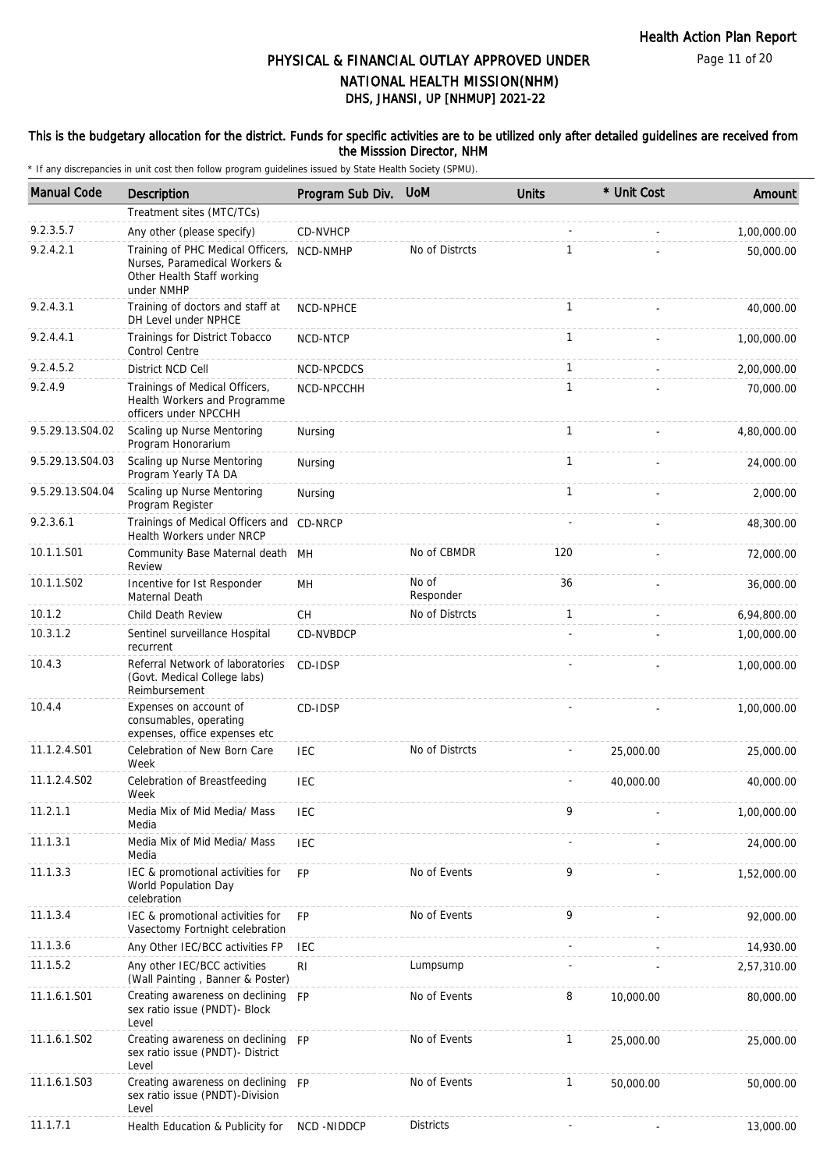## This is the budgetary allocation for the district. Funds for specific activities are to be utilized only after detailed guidelines are received from the Misssion Director, NHM

| <b>Manual Code</b> | Description                                                                                                    | Program Sub Div. UoM |                    | <b>Units</b> | * Unit Cost | Amount      |
|--------------------|----------------------------------------------------------------------------------------------------------------|----------------------|--------------------|--------------|-------------|-------------|
|                    | Treatment sites (MTC/TCs)                                                                                      |                      |                    |              |             |             |
| 9.2.3.5.7          | Any other (please specify)                                                                                     | CD-NVHCP             |                    |              |             | 1,00,000.00 |
| 9.2.4.2.1          | Training of PHC Medical Officers,<br>Nurses, Paramedical Workers &<br>Other Health Staff working<br>under NMHP | NCD-NMHP             | No of Distrcts     | $\mathbf{1}$ |             | 50,000.00   |
| 9.2.4.3.1          | Training of doctors and staff at<br>DH Level under NPHCE                                                       | NCD-NPHCE            |                    | $\mathbf{1}$ |             | 40,000.00   |
| 9.2.4.4.1          | Trainings for District Tobacco<br>Control Centre                                                               | NCD-NTCP             |                    | $\mathbf{1}$ |             | 1,00,000.00 |
| 9.2.4.5.2          | District NCD Cell                                                                                              | NCD-NPCDCS           |                    | 1            |             | 2,00,000.00 |
| 9.2.4.9            | Trainings of Medical Officers,<br>Health Workers and Programme<br>officers under NPCCHH                        | NCD-NPCCHH           |                    | $\mathbf{1}$ |             | 70,000.00   |
| 9.5.29.13.S04.02   | Scaling up Nurse Mentoring<br>Program Honorarium                                                               | Nursing              |                    | $\mathbf{1}$ |             | 4,80,000.00 |
| 9.5.29.13.S04.03   | Scaling up Nurse Mentoring<br>Program Yearly TA DA                                                             | Nursing              |                    | $\mathbf{1}$ |             | 24,000.00   |
| 9.5.29.13.S04.04   | Scaling up Nurse Mentoring<br>Program Register                                                                 | Nursing              |                    | $\mathbf{1}$ |             | 2,000.00    |
| 9.2.3.6.1          | Trainings of Medical Officers and CD-NRCP<br>Health Workers under NRCP                                         |                      |                    |              |             | 48,300.00   |
| 10.1.1.S01         | Community Base Maternal death MH<br>Review                                                                     |                      | No of CBMDR        | 120          |             | 72,000.00   |
| 10.1.1.S02         | Incentive for Ist Responder<br>Maternal Death                                                                  | MН                   | No of<br>Responder | 36           |             | 36,000.00   |
| 10.1.2             | Child Death Review                                                                                             | <b>CH</b>            | No of Distrcts     | $\mathbf{1}$ |             | 6,94,800.00 |
| 10.3.1.2           | Sentinel surveillance Hospital<br>recurrent                                                                    | CD-NVBDCP            |                    |              |             | 1,00,000.00 |
| 10.4.3             | Referral Network of laboratories<br>(Govt. Medical College labs)<br>Reimbursement                              | CD-IDSP              |                    |              |             | 1,00,000.00 |
| 10.4.4             | Expenses on account of<br>consumables, operating<br>expenses, office expenses etc                              | CD-IDSP              |                    |              |             | 1,00,000.00 |
| 11.1.2.4.S01       | Celebration of New Born Care<br>Week                                                                           | <b>IEC</b>           | No of Distrcts     |              | 25,000.00   | 25,000.00   |
| 11.1.2.4.S02       | Celebration of Breastfeeding<br>Week                                                                           | <b>IEC</b>           |                    |              | 40,000.00   | 40,000.00   |
| 11.2.1.1           | Media Mix of Mid Media/ Mass<br>Media                                                                          | IEC                  |                    | 9            |             | 1,00,000.00 |
| 11.1.3.1           | Media Mix of Mid Media/ Mass<br>Media                                                                          | <b>IEC</b>           |                    |              |             | 24,000.00   |
| 11.1.3.3           | IEC & promotional activities for<br>World Population Day<br>celebration                                        | <b>FP</b>            | No of Events       | 9            |             | 1,52,000.00 |
| 11.1.3.4           | IEC & promotional activities for<br>Vasectomy Fortnight celebration                                            | <b>FP</b>            | No of Events       | 9            |             | 92,000.00   |
| 11.1.3.6           | Any Other IEC/BCC activities FP                                                                                | <b>IEC</b>           |                    |              |             | 14,930.00   |
| 11.1.5.2           | Any other IEC/BCC activities<br>(Wall Painting, Banner & Poster)                                               | RI                   | Lumpsump           |              |             | 2,57,310.00 |
| 11.1.6.1.S01       | Creating awareness on declining FP<br>sex ratio issue (PNDT)- Block<br>Level                                   |                      | No of Events       | 8            | 10,000.00   | 80,000.00   |
| 11.1.6.1.S02       | Creating awareness on declining FP<br>sex ratio issue (PNDT)- District<br>Level                                |                      | No of Events       | $\mathbf{1}$ | 25,000.00   | 25,000.00   |
| 11.1.6.1.S03       | Creating awareness on declining FP<br>sex ratio issue (PNDT)-Division<br>Level                                 |                      | No of Events       | $\mathbf{1}$ | 50,000.00   | 50,000.00   |
| 11.1.7.1           | Health Education & Publicity for                                                                               | NCD -NIDDCP          | <b>Districts</b>   |              |             | 13,000.00   |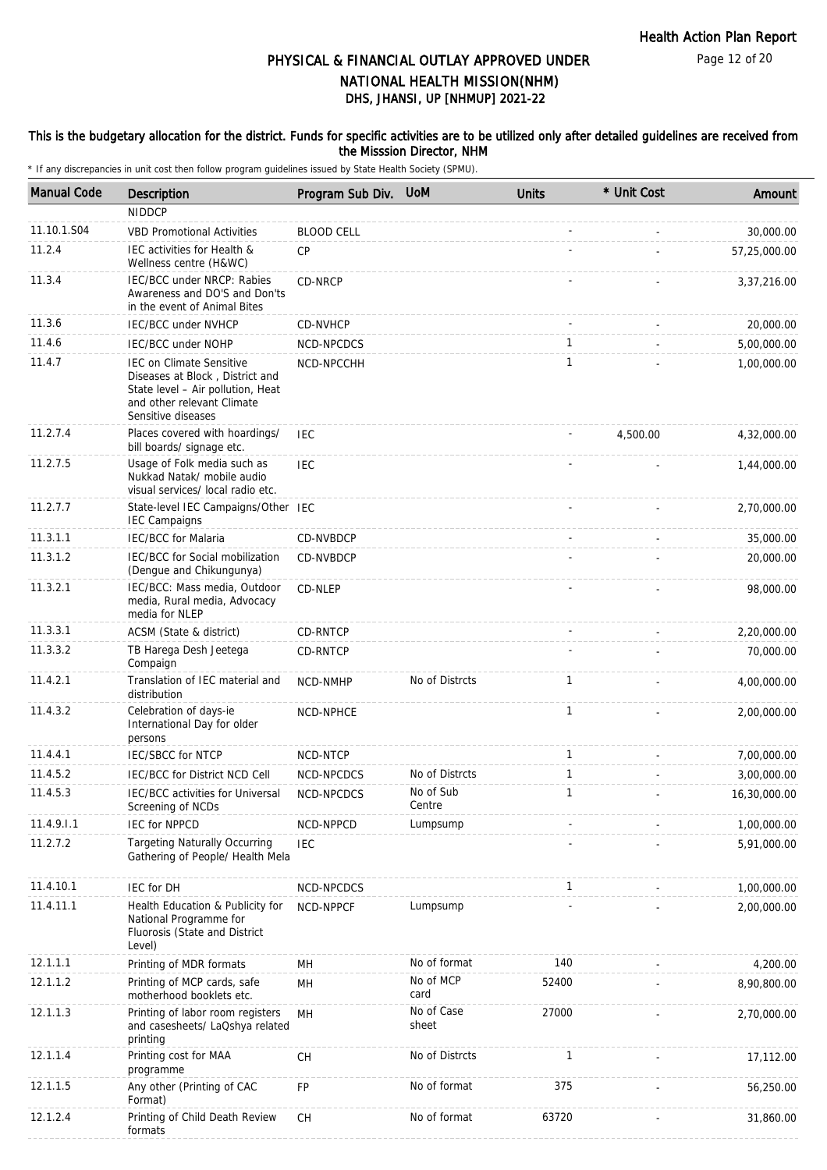## This is the budgetary allocation for the district. Funds for specific activities are to be utilized only after detailed guidelines are received from the Misssion Director, NHM

| <b>Manual Code</b> | Description                                                                                                                                                 | Program Sub Div. UoM |                     | <b>Units</b> | * Unit Cost | Amount       |
|--------------------|-------------------------------------------------------------------------------------------------------------------------------------------------------------|----------------------|---------------------|--------------|-------------|--------------|
|                    | <b>NIDDCP</b>                                                                                                                                               |                      |                     |              |             |              |
| 11.10.1.S04        | <b>VBD Promotional Activities</b>                                                                                                                           | <b>BLOOD CELL</b>    |                     |              |             | 30,000.00    |
| 11.2.4             | IEC activities for Health &<br>Wellness centre (H&WC)                                                                                                       | CP                   |                     |              |             | 57,25,000.00 |
| 11.3.4             | IEC/BCC under NRCP: Rabies<br>Awareness and DO'S and Don'ts<br>in the event of Animal Bites                                                                 | CD-NRCP              |                     |              |             | 3,37,216.00  |
| 11.3.6             | <b>IEC/BCC under NVHCP</b>                                                                                                                                  | CD-NVHCP             |                     |              |             | 20,000.00    |
| 11.4.6             | <b>IEC/BCC under NOHP</b>                                                                                                                                   | NCD-NPCDCS           |                     | $\mathbf{1}$ |             | 5,00,000.00  |
| 11.4.7             | <b>IEC on Climate Sensitive</b><br>Diseases at Block, District and<br>State level - Air pollution, Heat<br>and other relevant Climate<br>Sensitive diseases | NCD-NPCCHH           |                     | $\mathbf{1}$ |             | 1,00,000.00  |
| 11.2.7.4           | Places covered with hoardings/<br>bill boards/ signage etc.                                                                                                 | <b>IEC</b>           |                     |              | 4,500.00    | 4,32,000.00  |
| 11.2.7.5           | Usage of Folk media such as<br>Nukkad Natak/ mobile audio<br>visual services/ local radio etc.                                                              | <b>IEC</b>           |                     |              |             | 1,44,000.00  |
| 11.2.7.7           | State-level IEC Campaigns/Other IEC<br><b>IEC Campaigns</b>                                                                                                 |                      |                     |              |             | 2,70,000.00  |
| 11.3.1.1           | <b>IEC/BCC for Malaria</b>                                                                                                                                  | CD-NVBDCP            |                     |              |             | 35,000.00    |
| 11.3.1.2           | IEC/BCC for Social mobilization<br>(Dengue and Chikungunya)                                                                                                 | CD-NVBDCP            |                     |              |             | 20,000.00    |
| 11.3.2.1           | IEC/BCC: Mass media, Outdoor<br>media, Rural media, Advocacy<br>media for NLEP                                                                              | CD-NLEP              |                     |              |             | 98,000.00    |
| 11.3.3.1           | ACSM (State & district)                                                                                                                                     | CD-RNTCP             |                     |              |             | 2,20,000.00  |
| 11.3.3.2           | TB Harega Desh Jeetega<br>Compaign                                                                                                                          | CD-RNTCP             |                     |              |             | 70,000.00    |
| 11.4.2.1           | Translation of IEC material and<br>distribution                                                                                                             | NCD-NMHP             | No of Distrcts      | $\mathbf{1}$ |             | 4,00,000.00  |
| 11.4.3.2           | Celebration of days-ie<br>International Day for older<br>persons                                                                                            | NCD-NPHCE            |                     | $\mathbf{1}$ |             | 2,00,000.00  |
| 11.4.4.1           | <b>IEC/SBCC for NTCP</b>                                                                                                                                    | NCD-NTCP             |                     | $\mathbf{1}$ |             | 7,00,000.00  |
| 11.4.5.2           | IEC/BCC for District NCD Cell                                                                                                                               | NCD-NPCDCS           | No of Distrcts      | $\mathbf{1}$ |             | 3,00,000.00  |
| 11.4.5.3           | IEC/BCC activities for Universal<br>Screening of NCDs                                                                                                       | NCD-NPCDCS           | No of Sub<br>Centre | 1            |             | 16,30,000.00 |
| 11.4.9.1.1         | <b>IEC for NPPCD</b>                                                                                                                                        | NCD-NPPCD            | Lumpsump            |              |             | 1,00,000.00  |
| 11.2.7.2           | <b>Targeting Naturally Occurring</b><br>Gathering of People/ Health Mela                                                                                    | <b>IEC</b>           |                     |              |             | 5,91,000.00  |
| 11.4.10.1          | IEC for DH                                                                                                                                                  | NCD-NPCDCS           |                     | $\mathbf{1}$ |             | 1,00,000.00  |
| 11.4.11.1          | Health Education & Publicity for<br>National Programme for<br>Fluorosis (State and District<br>Level)                                                       | NCD-NPPCF            | Lumpsump            |              |             | 2,00,000.00  |
| 12.1.1.1           | Printing of MDR formats                                                                                                                                     | MH                   | No of format        | 140          |             | 4,200.00     |
| 12.1.1.2           | Printing of MCP cards, safe<br>motherhood booklets etc.                                                                                                     | MН                   | No of MCP<br>card   | 52400        |             | 8,90,800.00  |
| 12.1.1.3           | Printing of labor room registers<br>and casesheets/ LaQshya related<br>printing                                                                             | MH                   | No of Case<br>sheet | 27000        |             | 2,70,000.00  |
| 12.1.1.4           | Printing cost for MAA<br>programme                                                                                                                          | CH                   | No of Distrcts      | 1            |             | 17,112.00    |
| 12.1.1.5           | Any other (Printing of CAC<br>Format)                                                                                                                       | FP                   | No of format        | 375          |             | 56,250.00    |
| 12.1.2.4           | Printing of Child Death Review<br>formats                                                                                                                   | CH                   | No of format        | 63720        |             | 31,860.00    |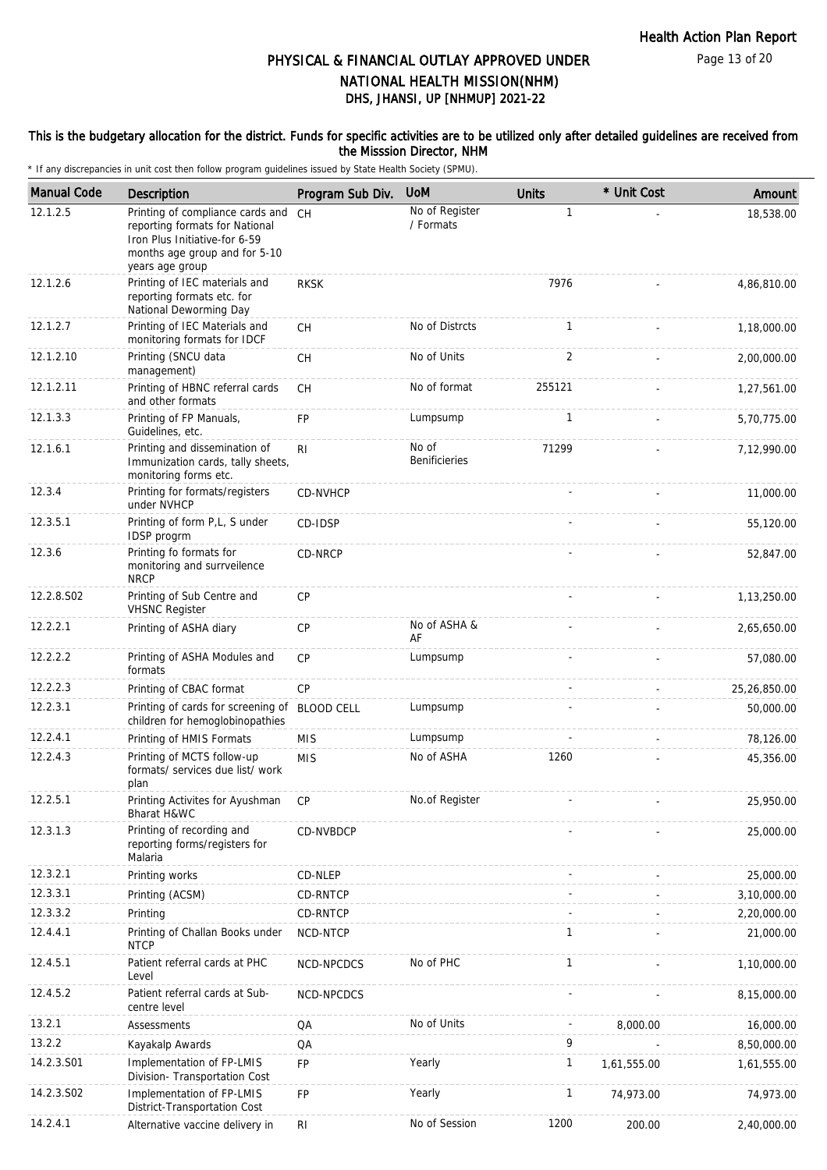Page 13 of 20

# DHS, JHANSI, UP [NHMUP] 2021-22 PHYSICAL & FINANCIAL OUTLAY APPROVED UNDER NATIONAL HEALTH MISSION(NHM)

## This is the budgetary allocation for the district. Funds for specific activities are to be utilized only after detailed guidelines are received from the Misssion Director, NHM

| <b>Manual Code</b> | <b>Description</b>                                                                                                                                      | Program Sub Div.  | <b>UoM</b>                    | <b>Units</b> | * Unit Cost | Amount       |
|--------------------|---------------------------------------------------------------------------------------------------------------------------------------------------------|-------------------|-------------------------------|--------------|-------------|--------------|
| 12.1.2.5           | Printing of compliance cards and<br>reporting formats for National<br>Iron Plus Initiative-for 6-59<br>months age group and for 5-10<br>years age group | <b>CH</b>         | No of Register<br>/ Formats   | $\mathbf{1}$ |             | 18,538.00    |
| 12.1.2.6           | Printing of IEC materials and<br>reporting formats etc. for<br>National Deworming Day                                                                   | <b>RKSK</b>       |                               | 7976         |             | 4,86,810.00  |
| 12.1.2.7           | Printing of IEC Materials and<br>monitoring formats for IDCF                                                                                            | CH                | No of Distrcts                | 1            |             | 1,18,000.00  |
| 12.1.2.10          | Printing (SNCU data<br>management)                                                                                                                      | <b>CH</b>         | No of Units                   | 2            |             | 2,00,000.00  |
| 12.1.2.11          | Printing of HBNC referral cards<br>and other formats                                                                                                    | CH                | No of format                  | 255121       |             | 1,27,561.00  |
| 12.1.3.3           | Printing of FP Manuals,<br>Guidelines, etc.                                                                                                             | <b>FP</b>         | Lumpsump                      | 1            |             | 5,70,775.00  |
| 12.1.6.1           | Printing and dissemination of<br>Immunization cards, tally sheets,<br>monitoring forms etc.                                                             | RI                | No of<br><b>Benificieries</b> | 71299        |             | 7,12,990.00  |
| 12.3.4             | Printing for formats/registers<br>under NVHCP                                                                                                           | CD-NVHCP          |                               |              |             | 11,000.00    |
| 12.3.5.1           | Printing of form P,L, S under<br>IDSP progrm                                                                                                            | CD-IDSP           |                               |              |             | 55,120.00    |
| 12.3.6             | Printing fo formats for<br>monitoring and surrveilence<br><b>NRCP</b>                                                                                   | CD-NRCP           |                               |              |             | 52,847.00    |
| 12.2.8.S02         | Printing of Sub Centre and<br><b>VHSNC Register</b>                                                                                                     | CP                |                               |              |             | 1,13,250.00  |
| 12.2.2.1           | Printing of ASHA diary                                                                                                                                  | CP                | No of ASHA &<br>AF            |              |             | 2,65,650.00  |
| 12.2.2.2           | Printing of ASHA Modules and<br>formats                                                                                                                 | <b>CP</b>         | Lumpsump                      |              |             | 57,080.00    |
| 12.2.2.3           | Printing of CBAC format                                                                                                                                 | CP                |                               |              |             | 25,26,850.00 |
| 12.2.3.1           | Printing of cards for screening of<br>children for hemoglobinopathies                                                                                   | <b>BLOOD CELL</b> | Lumpsump                      |              |             | 50,000.00    |
| 12.2.4.1           | Printing of HMIS Formats                                                                                                                                | <b>MIS</b>        | Lumpsump                      |              |             | 78,126.00    |
| 12.2.4.3           | Printing of MCTS follow-up<br>formats/ services due list/ work<br>plan                                                                                  | <b>MIS</b>        | No of ASHA                    | 1260         |             | 45,356.00    |
| 12.2.5.1           | Printing Activites for Ayushman<br>Bharat H&WC                                                                                                          | CP                | No.of Register                |              |             | 25,950.00    |
| 12.3.1.3           | Printing of recording and<br>reporting forms/registers for<br>Malaria                                                                                   | CD-NVBDCP         |                               |              |             | 25,000.00    |
| 12.3.2.1           | Printing works                                                                                                                                          | CD-NLEP           |                               |              |             | 25,000.00    |
| 12.3.3.1           | Printing (ACSM)                                                                                                                                         | CD-RNTCP          |                               |              |             | 3,10,000.00  |
| 12.3.3.2           | Printing                                                                                                                                                | CD-RNTCP          |                               |              |             | 2,20,000.00  |
| 12.4.4.1           | Printing of Challan Books under<br><b>NTCP</b>                                                                                                          | NCD-NTCP          |                               | 1            |             | 21,000.00    |
| 12.4.5.1           | Patient referral cards at PHC<br>Level                                                                                                                  | NCD-NPCDCS        | No of PHC                     | $\mathbf{1}$ |             | 1,10,000.00  |
| 12.4.5.2           | Patient referral cards at Sub-<br>centre level                                                                                                          | NCD-NPCDCS        |                               |              |             | 8,15,000.00  |
| 13.2.1             | Assessments                                                                                                                                             | QA                | No of Units                   |              | 8,000.00    | 16,000.00    |
| 13.2.2             | Kayakalp Awards                                                                                                                                         | QA                |                               | 9            |             | 8,50,000.00  |
| 14.2.3.S01         | Implementation of FP-LMIS<br>Division- Transportation Cost                                                                                              | <b>FP</b>         | Yearly                        | $\mathbf{1}$ | 1,61,555.00 | 1,61,555.00  |
| 14.2.3.S02         | Implementation of FP-LMIS<br>District-Transportation Cost                                                                                               | FP                | Yearly                        | 1            | 74,973.00   | 74,973.00    |
| 14.2.4.1           | Alternative vaccine delivery in                                                                                                                         | <b>RI</b>         | No of Session                 | 1200         | 200.00      | 2,40,000.00  |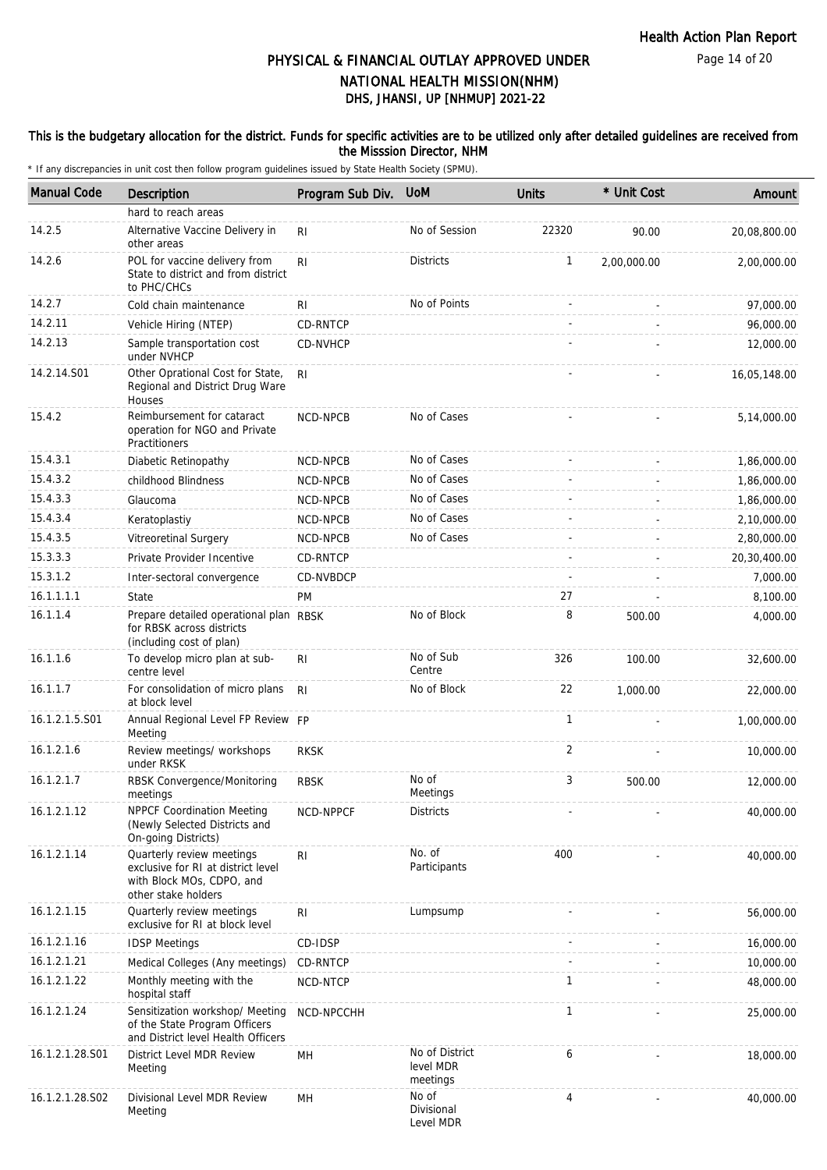Page 14 of 20

# DHS, JHANSI, UP [NHMUP] 2021-22 PHYSICAL & FINANCIAL OUTLAY APPROVED UNDER NATIONAL HEALTH MISSION(NHM)

## This is the budgetary allocation for the district. Funds for specific activities are to be utilized only after detailed guidelines are received from the Misssion Director, NHM

| <b>Manual Code</b> | <b>Description</b>                                                                                                  | Program Sub Div. | <b>UoM</b>                              | <b>Units</b> | * Unit Cost | Amount       |
|--------------------|---------------------------------------------------------------------------------------------------------------------|------------------|-----------------------------------------|--------------|-------------|--------------|
|                    | hard to reach areas                                                                                                 |                  |                                         |              |             |              |
| 14.2.5             | Alternative Vaccine Delivery in<br>other areas                                                                      | R <sub>l</sub>   | No of Session                           | 22320        | 90.00       | 20,08,800.00 |
| 14.2.6             | POL for vaccine delivery from<br>State to district and from district<br>to PHC/CHCs                                 | R <sub>l</sub>   | <b>Districts</b>                        | 1            | 2,00,000.00 | 2,00,000.00  |
| 14.2.7             | Cold chain maintenance                                                                                              | RI               | No of Points                            |              |             | 97,000.00    |
| 14.2.11            | Vehicle Hiring (NTEP)                                                                                               | CD-RNTCP         |                                         |              |             | 96,000.00    |
| 14.2.13            | Sample transportation cost<br>under NVHCP                                                                           | CD-NVHCP         |                                         |              |             | 12,000.00    |
| 14.2.14.S01        | Other Oprational Cost for State,<br>Regional and District Drug Ware<br>Houses                                       | RI.              |                                         |              |             | 16,05,148.00 |
| 15.4.2             | Reimbursement for cataract<br>operation for NGO and Private<br>Practitioners                                        | NCD-NPCB         | No of Cases                             |              |             | 5,14,000.00  |
| 15.4.3.1           | Diabetic Retinopathy                                                                                                | NCD-NPCB         | No of Cases                             |              |             | 1,86,000.00  |
| 15.4.3.2           | childhood Blindness                                                                                                 | <b>NCD-NPCB</b>  | No of Cases                             |              |             | 1,86,000.00  |
| 15.4.3.3           | Glaucoma                                                                                                            | NCD-NPCB         | No of Cases                             |              |             | 1,86,000.00  |
| 15.4.3.4           | Keratoplastiy                                                                                                       | NCD-NPCB         | No of Cases                             |              |             | 2,10,000.00  |
| 15.4.3.5           | Vitreoretinal Surgery                                                                                               | NCD-NPCB         | No of Cases                             |              |             | 2,80,000.00  |
| 15.3.3.3           | Private Provider Incentive                                                                                          | CD-RNTCP         |                                         |              |             | 20,30,400.00 |
| 15.3.1.2           | Inter-sectoral convergence                                                                                          | CD-NVBDCP        |                                         |              |             | 7,000.00     |
| 16.1.1.1.1         | State                                                                                                               | <b>PM</b>        |                                         | 27           |             | 8,100.00     |
| 16.1.1.4           | Prepare detailed operational plan RBSK<br>for RBSK across districts<br>(including cost of plan)                     |                  | No of Block                             | 8            | 500.00      | 4,000.00     |
| 16.1.1.6           | To develop micro plan at sub-<br>centre level                                                                       | <b>RI</b>        | No of Sub<br>Centre                     | 326          | 100.00      | 32,600.00    |
| 16.1.1.7           | For consolidation of micro plans<br>at block level                                                                  | R <sub>l</sub>   | No of Block                             | 22           | 1,000.00    | 22,000.00    |
| 16.1.2.1.5.S01     | Annual Regional Level FP Review FP<br>Meeting                                                                       |                  |                                         | $\mathbf{1}$ |             | 1,00,000.00  |
| 16.1.2.1.6         | Review meetings/ workshops<br>under RKSK                                                                            | <b>RKSK</b>      |                                         | 2            |             | 10,000.00    |
| 16.1.2.1.7         | RBSK Convergence/Monitoring<br>meetings                                                                             | <b>RBSK</b>      | No of<br>Meetings                       | 3            | 500.00      | 12,000.00    |
| 16.1.2.1.12        | <b>NPPCF Coordination Meeting</b><br>(Newly Selected Districts and<br>On-going Districts)                           | NCD-NPPCF        | <b>Districts</b>                        |              |             | 40,000.00    |
| 16.1.2.1.14        | Quarterly review meetings<br>exclusive for RI at district level<br>with Block MOs, CDPO, and<br>other stake holders | RI               | No. of<br>Participants                  | 400          |             | 40,000.00    |
| 16.1.2.1.15        | Quarterly review meetings<br>exclusive for RI at block level                                                        | R <sub>l</sub>   | Lumpsump                                |              |             | 56,000.00    |
| 16.1.2.1.16        | <b>IDSP Meetings</b>                                                                                                | CD-IDSP          |                                         |              |             | 16,000.00    |
| 16.1.2.1.21        | Medical Colleges (Any meetings)                                                                                     | CD-RNTCP         |                                         |              |             | 10,000.00    |
| 16.1.2.1.22        | Monthly meeting with the<br>hospital staff                                                                          | NCD-NTCP         |                                         | $\mathbf{1}$ |             | 48,000.00    |
| 16.1.2.1.24        | Sensitization workshop/ Meeting<br>of the State Program Officers<br>and District level Health Officers              | NCD-NPCCHH       |                                         | $\mathbf{1}$ |             | 25,000.00    |
| 16.1.2.1.28.S01    | District Level MDR Review<br>Meeting                                                                                | MН               | No of District<br>level MDR<br>meetings | 6            |             | 18,000.00    |
| 16.1.2.1.28.S02    | Divisional Level MDR Review<br>Meeting                                                                              | MH               | No of<br>Divisional<br>Level MDR        | 4            |             | 40,000.00    |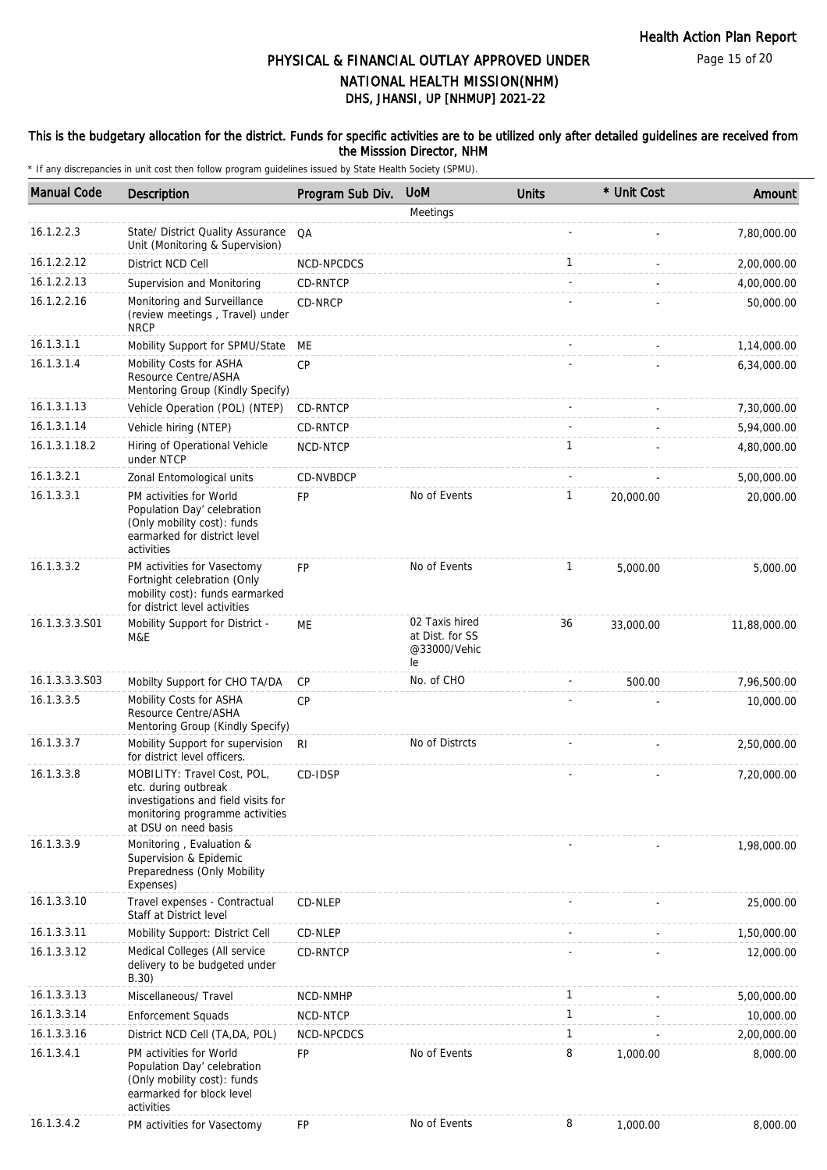Page 15 of 20

# DHS, JHANSI, UP [NHMUP] 2021-22 PHYSICAL & FINANCIAL OUTLAY APPROVED UNDER NATIONAL HEALTH MISSION(NHM)

## This is the budgetary allocation for the district. Funds for specific activities are to be utilized only after detailed guidelines are received from the Misssion Director, NHM

| <b>Manual Code</b> | <b>Description</b>                                                                                                                                    | Program Sub Div. | <b>UoM</b>                                              | <b>Units</b> | * Unit Cost | Amount       |
|--------------------|-------------------------------------------------------------------------------------------------------------------------------------------------------|------------------|---------------------------------------------------------|--------------|-------------|--------------|
|                    |                                                                                                                                                       |                  | Meetings                                                |              |             |              |
| 16.1.2.2.3         | State/ District Quality Assurance<br>Unit (Monitoring & Supervision)                                                                                  | QA               |                                                         |              |             | 7,80,000.00  |
| 16.1.2.2.12        | District NCD Cell                                                                                                                                     | NCD-NPCDCS       |                                                         | $\mathbf{1}$ |             | 2,00,000.00  |
| 16.1.2.2.13        | Supervision and Monitoring                                                                                                                            | CD-RNTCP         |                                                         |              |             | 4,00,000.00  |
| 16.1.2.2.16        | Monitoring and Surveillance<br>(review meetings, Travel) under<br><b>NRCP</b>                                                                         | CD-NRCP          |                                                         |              |             | 50,000.00    |
| 16.1.3.1.1         | Mobility Support for SPMU/State                                                                                                                       | ME               |                                                         |              |             | 1,14,000.00  |
| 16.1.3.1.4         | Mobility Costs for ASHA<br>Resource Centre/ASHA<br>Mentoring Group (Kindly Specify)                                                                   | CP               |                                                         |              |             | 6,34,000.00  |
| 16.1.3.1.13        | Vehicle Operation (POL) (NTEP)                                                                                                                        | CD-RNTCP         |                                                         |              |             | 7,30,000.00  |
| 16.1.3.1.14        | Vehicle hiring (NTEP)                                                                                                                                 | CD-RNTCP         |                                                         |              |             | 5,94,000.00  |
| 16.1.3.1.18.2      | Hiring of Operational Vehicle<br>under NTCP                                                                                                           | NCD-NTCP         |                                                         | $\mathbf{1}$ |             | 4,80,000.00  |
| 16.1.3.2.1         | Zonal Entomological units                                                                                                                             | CD-NVBDCP        |                                                         |              |             | 5,00,000.00  |
| 16.1.3.3.1         | PM activities for World<br>Population Day' celebration<br>(Only mobility cost): funds<br>earmarked for district level<br>activities                   | <b>FP</b>        | No of Events                                            | $\mathbf{1}$ | 20,000.00   | 20,000.00    |
| 16.1.3.3.2         | PM activities for Vasectomy<br>Fortnight celebration (Only<br>mobility cost): funds earmarked<br>for district level activities                        | <b>FP</b>        | No of Events                                            | 1            | 5,000.00    | 5,000.00     |
| 16.1.3.3.3.S01     | Mobility Support for District -<br>M&E                                                                                                                | ME               | 02 Taxis hired<br>at Dist. for SS<br>@33000/Vehic<br>le | 36           | 33,000.00   | 11,88,000.00 |
| 16.1.3.3.3.S03     | Mobilty Support for CHO TA/DA                                                                                                                         | CP               | No. of CHO                                              |              | 500.00      | 7,96,500.00  |
| 16.1.3.3.5         | Mobility Costs for ASHA<br>Resource Centre/ASHA<br>Mentoring Group (Kindly Specify)                                                                   | <b>CP</b>        |                                                         |              |             | 10,000.00    |
| 16.1.3.3.7         | Mobility Support for supervision<br>for district level officers.                                                                                      | R <sub>l</sub>   | No of Distrcts                                          |              |             | 2,50,000.00  |
| 16.1.3.3.8         | MOBILITY: Travel Cost, POL,<br>etc. during outbreak<br>investigations and field visits for<br>monitoring programme activities<br>at DSU on need basis | CD-IDSP          |                                                         |              |             | 7,20,000.00  |
| 16.1.3.3.9         | Monitoring, Evaluation &<br>Supervision & Epidemic<br>Preparedness (Only Mobility<br>Expenses)                                                        |                  |                                                         |              |             | 1,98,000.00  |
| 16.1.3.3.10        | Travel expenses - Contractual<br>Staff at District level                                                                                              | CD-NLEP          |                                                         |              |             | 25,000.00    |
| 16.1.3.3.11        | Mobility Support: District Cell                                                                                                                       | CD-NLEP          |                                                         |              |             | 1,50,000.00  |
| 16.1.3.3.12        | Medical Colleges (All service<br>delivery to be budgeted under<br>B.30)                                                                               | <b>CD-RNTCP</b>  |                                                         |              |             | 12,000.00    |
| 16.1.3.3.13        | Miscellaneous/ Travel                                                                                                                                 | NCD-NMHP         |                                                         | 1            |             | 5,00,000.00  |
| 16.1.3.3.14        | <b>Enforcement Squads</b>                                                                                                                             | NCD-NTCP         |                                                         | $\mathbf{1}$ |             | 10,000.00    |
| 16.1.3.3.16        | District NCD Cell (TA, DA, POL)                                                                                                                       | NCD-NPCDCS       |                                                         | $\mathbf{1}$ |             | 2,00,000.00  |
| 16.1.3.4.1         | PM activities for World<br>Population Day' celebration<br>(Only mobility cost): funds<br>earmarked for block level<br>activities                      | <b>FP</b>        | No of Events                                            | 8            | 1,000.00    | 8,000.00     |
| 16.1.3.4.2         | PM activities for Vasectomy                                                                                                                           | FP               | No of Events                                            | 8            | 1,000.00    | 8,000.00     |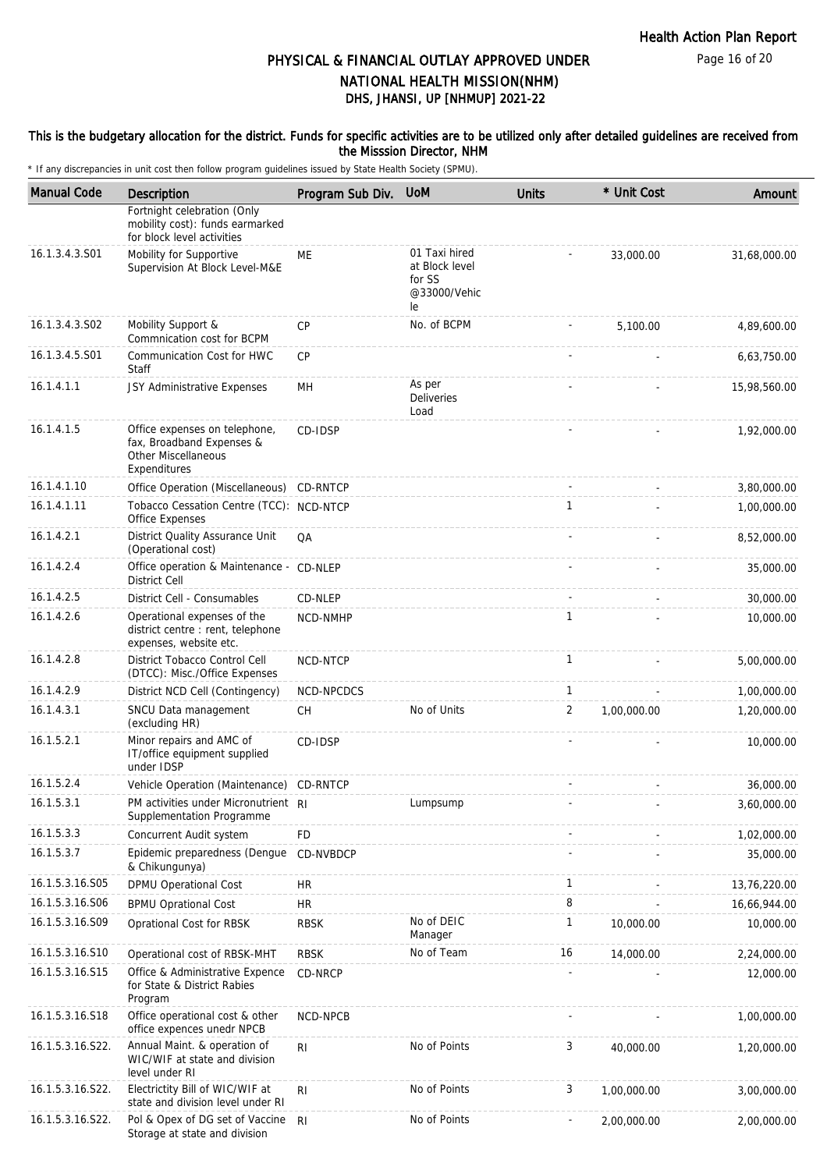## This is the budgetary allocation for the district. Funds for specific activities are to be utilized only after detailed guidelines are received from the Misssion Director, NHM

| <b>Manual Code</b> | Description                                                                                              | Program Sub Div. | <b>UoM</b>                                                      | <b>Units</b>   | * Unit Cost | Amount       |
|--------------------|----------------------------------------------------------------------------------------------------------|------------------|-----------------------------------------------------------------|----------------|-------------|--------------|
|                    | Fortnight celebration (Only<br>mobility cost): funds earmarked<br>for block level activities             |                  |                                                                 |                |             |              |
| 16.1.3.4.3.S01     | Mobility for Supportive<br>Supervision At Block Level-M&E                                                | ME               | 01 Taxi hired<br>at Block level<br>for SS<br>@33000/Vehic<br>le |                | 33,000.00   | 31,68,000.00 |
| 16.1.3.4.3.S02     | Mobility Support &<br>Commnication cost for BCPM                                                         | <b>CP</b>        | No. of BCPM                                                     |                | 5,100.00    | 4,89,600.00  |
| 16.1.3.4.5.S01     | Communication Cost for HWC<br><b>Staff</b>                                                               | CP               |                                                                 |                |             | 6,63,750.00  |
| 16.1.4.1.1         | JSY Administrative Expenses                                                                              | MH               | As per<br>Deliveries<br>Load                                    |                |             | 15,98,560.00 |
| 16.1.4.1.5         | Office expenses on telephone,<br>fax, Broadband Expenses &<br><b>Other Miscellaneous</b><br>Expenditures | CD-IDSP          |                                                                 |                |             | 1,92,000.00  |
| 16.1.4.1.10        | Office Operation (Miscellaneous) CD-RNTCP                                                                |                  |                                                                 |                |             | 3,80,000.00  |
| 16.1.4.1.11        | Tobacco Cessation Centre (TCC): NCD-NTCP<br>Office Expenses                                              |                  |                                                                 | $\mathbf{1}$   |             | 1,00,000.00  |
| 16.1.4.2.1         | <b>District Quality Assurance Unit</b><br>(Operational cost)                                             | QA               |                                                                 |                |             | 8,52,000.00  |
| 16.1.4.2.4         | Office operation & Maintenance - CD-NLEP<br><b>District Cell</b>                                         |                  |                                                                 |                |             | 35,000.00    |
| 16.1.4.2.5         | District Cell - Consumables                                                                              | CD-NLEP          |                                                                 |                |             | 30,000.00    |
| 16.1.4.2.6         | Operational expenses of the<br>district centre : rent, telephone<br>expenses, website etc.               | NCD-NMHP         |                                                                 | $\mathbf{1}$   |             | 10,000.00    |
| 16.1.4.2.8         | District Tobacco Control Cell<br>(DTCC): Misc./Office Expenses                                           | NCD-NTCP         |                                                                 | $\mathbf{1}$   |             | 5,00,000.00  |
| 16.1.4.2.9         | District NCD Cell (Contingency)                                                                          | NCD-NPCDCS       |                                                                 | $\mathbf{1}$   |             | 1,00,000.00  |
| 16.1.4.3.1         | SNCU Data management<br>(excluding HR)                                                                   | CH               | No of Units                                                     | $\overline{2}$ | 1,00,000.00 | 1,20,000.00  |
| 16.1.5.2.1         | Minor repairs and AMC of<br>IT/office equipment supplied<br>under IDSP                                   | CD-IDSP          |                                                                 |                |             | 10,000.00    |
| 16.1.5.2.4         | Vehicle Operation (Maintenance) CD-RNTCP                                                                 |                  |                                                                 |                |             | 36,000.00    |
| 16.1.5.3.1         | PM activities under Micronutrient RI<br>Supplementation Programme                                        |                  | Lumpsump                                                        |                |             | 3,60,000.00  |
| 16.1.5.3.3         | Concurrent Audit system                                                                                  | <b>FD</b>        |                                                                 |                |             | 1,02,000.00  |
| 16.1.5.3.7         | Epidemic preparedness (Dengue<br>& Chikungunya)                                                          | CD-NVBDCP        |                                                                 |                |             | 35,000.00    |
| 16.1.5.3.16.S05    | DPMU Operational Cost                                                                                    | <b>HR</b>        |                                                                 | $\mathbf{1}$   |             | 13,76,220.00 |
| 16.1.5.3.16.S06    | <b>BPMU Oprational Cost</b>                                                                              | <b>HR</b>        |                                                                 | 8              |             | 16,66,944.00 |
| 16.1.5.3.16.S09    | Oprational Cost for RBSK                                                                                 | <b>RBSK</b>      | No of DEIC<br>Manager                                           | $\mathbf{1}$   | 10,000.00   | 10,000.00    |
| 16.1.5.3.16.S10    | Operational cost of RBSK-MHT                                                                             | <b>RBSK</b>      | No of Team                                                      | 16             | 14,000.00   | 2,24,000.00  |
| 16.1.5.3.16.S15    | Office & Administrative Expence<br>for State & District Rabies<br>Program                                | CD-NRCP          |                                                                 |                |             | 12,000.00    |
| 16.1.5.3.16.S18    | Office operational cost & other<br>office expences unedr NPCB                                            | NCD-NPCB         |                                                                 |                |             | 1,00,000.00  |
| 16.1.5.3.16.S22.   | Annual Maint. & operation of<br>WIC/WIF at state and division<br>level under RI                          | R <sub>1</sub>   | No of Points                                                    | 3              | 40,000.00   | 1,20,000.00  |
| 16.1.5.3.16.S22.   | Electrictity Bill of WIC/WIF at<br>state and division level under RI                                     | R <sub>1</sub>   | No of Points                                                    | 3              | 1,00,000.00 | 3,00,000.00  |
| 16.1.5.3.16.S22.   | Pol & Opex of DG set of Vaccine<br>Storage at state and division                                         | -RI              | No of Points                                                    |                | 2,00,000.00 | 2,00,000.00  |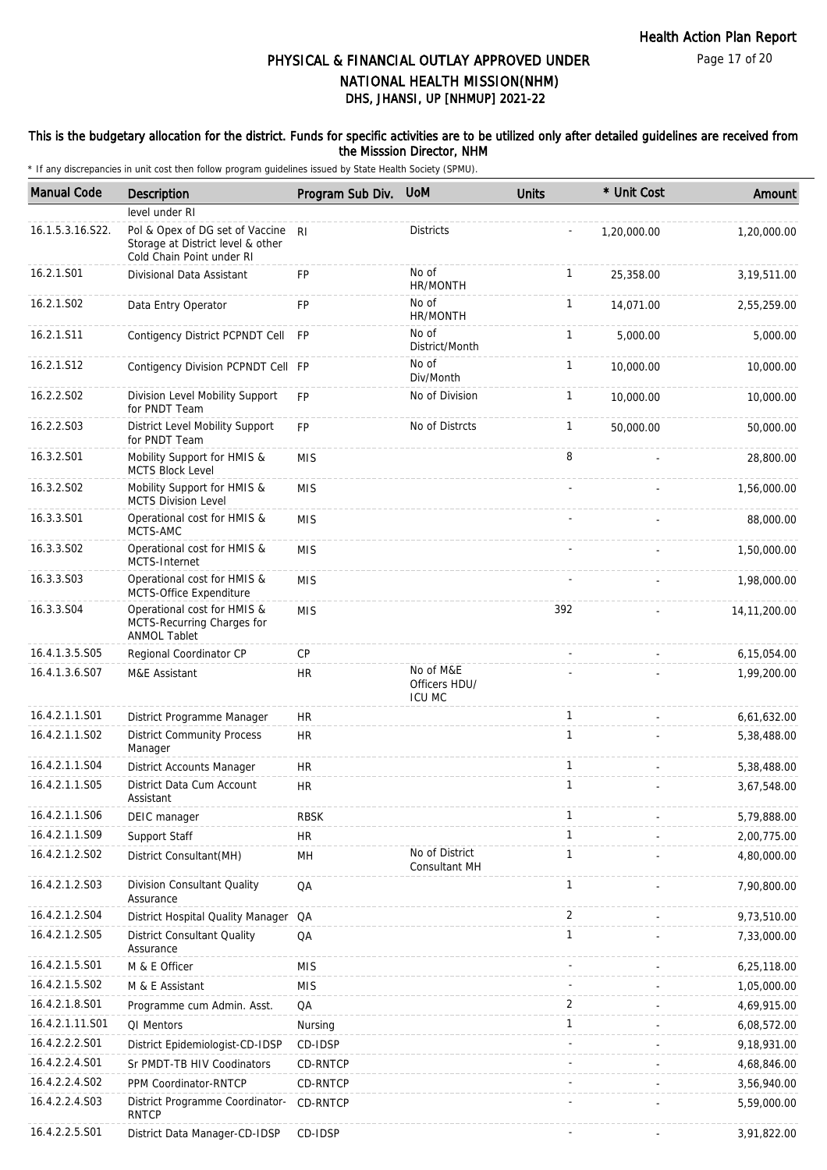## This is the budgetary allocation for the district. Funds for specific activities are to be utilized only after detailed guidelines are received from the Misssion Director, NHM

| <b>Manual Code</b> | Description                                                                                       | Program Sub Div. | <b>UoM</b>                                  | <b>Units</b> | * Unit Cost | Amount         |
|--------------------|---------------------------------------------------------------------------------------------------|------------------|---------------------------------------------|--------------|-------------|----------------|
|                    | level under RI                                                                                    |                  |                                             |              |             |                |
| 16.1.5.3.16.S22.   | Pol & Opex of DG set of Vaccine<br>Storage at District level & other<br>Cold Chain Point under RI | RI               | <b>Districts</b>                            |              | 1,20,000.00 | 1,20,000.00    |
| 16.2.1.S01         | Divisional Data Assistant                                                                         | <b>FP</b>        | No of<br>HR/MONTH                           | $\mathbf{1}$ | 25,358.00   | 3,19,511.00    |
| 16.2.1.S02         | Data Entry Operator                                                                               | <b>FP</b>        | No of<br>HR/MONTH                           | $\mathbf{1}$ | 14,071.00   | 2,55,259.00    |
| 16.2.1.S11         | Contigency District PCPNDT Cell FP                                                                |                  | No of<br>District/Month                     | $\mathbf{1}$ | 5,000.00    | 5,000.00       |
| 16.2.1.S12         | Contigency Division PCPNDT Cell FP                                                                |                  | No of<br>Div/Month                          | $\mathbf{1}$ | 10,000.00   | 10,000.00      |
| 16.2.2.S02         | Division Level Mobility Support<br>for PNDT Team                                                  | <b>FP</b>        | No of Division                              | $\mathbf{1}$ | 10,000.00   | 10,000.00      |
| 16.2.2.S03         | District Level Mobility Support<br>for PNDT Team                                                  | FP               | No of Distrcts                              | $\mathbf{1}$ | 50,000.00   | 50,000.00      |
| 16.3.2.S01         | Mobility Support for HMIS &<br><b>MCTS Block Level</b>                                            | <b>MIS</b>       |                                             | 8            |             | 28,800.00      |
| 16.3.2.S02         | Mobility Support for HMIS &<br>MCTS Division Level                                                | <b>MIS</b>       |                                             |              |             | 1,56,000.00    |
| 16.3.3.S01         | Operational cost for HMIS &<br>MCTS-AMC                                                           | <b>MIS</b>       |                                             |              |             | 88,000.00      |
| 16.3.3.S02         | Operational cost for HMIS &<br>MCTS-Internet                                                      | <b>MIS</b>       |                                             |              |             | 1,50,000.00    |
| 16.3.3.S03         | Operational cost for HMIS &<br>MCTS-Office Expenditure                                            | <b>MIS</b>       |                                             |              |             | 1,98,000.00    |
| 16.3.3.S04         | Operational cost for HMIS &<br>MCTS-Recurring Charges for<br><b>ANMOL Tablet</b>                  | <b>MIS</b>       |                                             | 392          |             | 14, 11, 200.00 |
| 16.4.1.3.5.S05     | Regional Coordinator CP                                                                           | CP               |                                             |              |             | 6,15,054.00    |
| 16.4.1.3.6.S07     | M&E Assistant                                                                                     | <b>HR</b>        | No of M&E<br>Officers HDU/<br><b>ICU MC</b> |              |             | 1,99,200.00    |
| 16.4.2.1.1.S01     | District Programme Manager                                                                        | <b>HR</b>        |                                             | $\mathbf{1}$ |             | 6,61,632.00    |
| 16.4.2.1.1.S02     | <b>District Community Process</b><br>Manager                                                      | <b>HR</b>        |                                             | $\mathbf{1}$ |             | 5,38,488.00    |
| 16.4.2.1.1.S04     | District Accounts Manager                                                                         | <b>HR</b>        |                                             | $\mathbf{1}$ |             | 5,38,488.00    |
| 16.4.2.1.1.S05     | District Data Cum Account<br>Assistant                                                            | <b>HR</b>        |                                             | $\mathbf{1}$ |             | 3,67,548.00    |
| 16.4.2.1.1.S06     | DEIC manager                                                                                      | <b>RBSK</b>      |                                             | 1            |             | 5,79,888.00    |
| 16.4.2.1.1.S09     | Support Staff                                                                                     | <b>HR</b>        |                                             | $\mathbf{1}$ |             | 2,00,775.00    |
| 16.4.2.1.2.S02     | District Consultant(MH)                                                                           | MH               | No of District<br>Consultant MH             | $\mathbf{1}$ |             | 4,80,000.00    |
| 16.4.2.1.2.S03     | Division Consultant Quality<br>Assurance                                                          | QA               |                                             | 1            |             | 7,90,800.00    |
| 16.4.2.1.2.S04     | District Hospital Quality Manager QA                                                              |                  |                                             | 2            |             | 9,73,510.00    |
| 16.4.2.1.2.S05     | <b>District Consultant Quality</b><br>Assurance                                                   | QA               |                                             | 1            |             | 7,33,000.00    |
| 16.4.2.1.5.S01     | M & E Officer                                                                                     | <b>MIS</b>       |                                             |              |             | 6,25,118.00    |
| 16.4.2.1.5.S02     | M & E Assistant                                                                                   | <b>MIS</b>       |                                             |              |             | 1,05,000.00    |
| 16.4.2.1.8.S01     | Programme cum Admin. Asst.                                                                        | QA               |                                             | 2            |             | 4,69,915.00    |
| 16.4.2.1.11.S01    | QI Mentors                                                                                        | Nursing          |                                             | $\mathbf{1}$ |             | 6,08,572.00    |
| 16.4.2.2.2.S01     | District Epidemiologist-CD-IDSP                                                                   | CD-IDSP          |                                             |              |             | 9,18,931.00    |
| 16.4.2.2.4.S01     | Sr PMDT-TB HIV Coodinators                                                                        | CD-RNTCP         |                                             |              |             | 4,68,846.00    |
| 16.4.2.2.4.S02     | PPM Coordinator-RNTCP                                                                             | CD-RNTCP         |                                             |              |             | 3,56,940.00    |
| 16.4.2.2.4.S03     | District Programme Coordinator-<br><b>RNTCP</b>                                                   | CD-RNTCP         |                                             |              |             | 5,59,000.00    |
| 16.4.2.2.5.S01     | District Data Manager-CD-IDSP                                                                     | CD-IDSP          |                                             |              |             | 3,91,822.00    |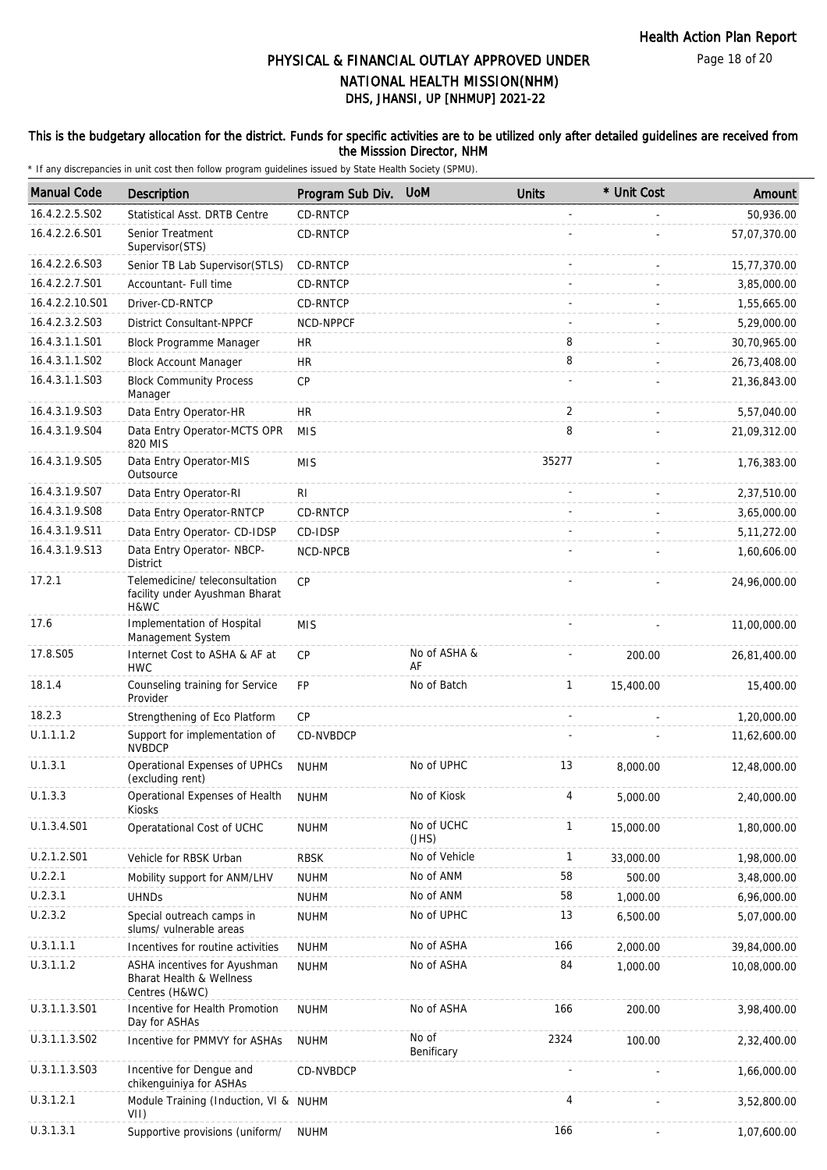Page 18 of 20

# DHS, JHANSI, UP [NHMUP] 2021-22 PHYSICAL & FINANCIAL OUTLAY APPROVED UNDER NATIONAL HEALTH MISSION(NHM)

## This is the budgetary allocation for the district. Funds for specific activities are to be utilized only after detailed guidelines are received from the Misssion Director, NHM

| <b>Manual Code</b> | Description                                                                | Program Sub Div. | <b>UoM</b>          | <b>Units</b>             | * Unit Cost | Amount        |
|--------------------|----------------------------------------------------------------------------|------------------|---------------------|--------------------------|-------------|---------------|
| 16.4.2.2.5.S02     | Statistical Asst. DRTB Centre                                              | <b>CD-RNTCP</b>  |                     |                          |             | 50,936.00     |
| 16.4.2.2.6.S01     | Senior Treatment<br>Supervisor(STS)                                        | CD-RNTCP         |                     |                          |             | 57,07,370.00  |
| 16.4.2.2.6.S03     | Senior TB Lab Supervisor(STLS)                                             | CD-RNTCP         |                     |                          | $\sim$      | 15,77,370.00  |
| 16.4.2.2.7.S01     | Accountant- Full time                                                      | CD-RNTCP         |                     |                          |             | 3,85,000.00   |
| 16.4.2.2.10.S01    | Driver-CD-RNTCP                                                            | CD-RNTCP         |                     |                          |             | 1,55,665.00   |
| 16.4.2.3.2.S03     | <b>District Consultant-NPPCF</b>                                           | NCD-NPPCF        |                     |                          |             | 5,29,000.00   |
| 16.4.3.1.1.S01     | <b>Block Programme Manager</b>                                             | <b>HR</b>        |                     | 8                        |             | 30,70,965.00  |
| 16.4.3.1.1.S02     | <b>Block Account Manager</b>                                               | <b>HR</b>        |                     | 8                        |             | 26,73,408.00  |
| 16.4.3.1.1.S03     | <b>Block Community Process</b><br>Manager                                  | <b>CP</b>        |                     |                          |             | 21,36,843.00  |
| 16.4.3.1.9.S03     | Data Entry Operator-HR                                                     | <b>HR</b>        |                     | 2                        |             | 5,57,040.00   |
| 16.4.3.1.9.S04     | Data Entry Operator-MCTS OPR<br>820 MIS                                    | <b>MIS</b>       |                     | 8                        |             | 21,09,312.00  |
| 16.4.3.1.9.S05     | Data Entry Operator-MIS<br>Outsource                                       | <b>MIS</b>       |                     | 35277                    |             | 1,76,383.00   |
| 16.4.3.1.9.S07     | Data Entry Operator-RI                                                     | R <sub>l</sub>   |                     |                          |             | 2,37,510.00   |
| 16.4.3.1.9.S08     | Data Entry Operator-RNTCP                                                  | CD-RNTCP         |                     |                          |             | 3,65,000.00   |
| 16.4.3.1.9.S11     | Data Entry Operator- CD-IDSP                                               | CD-IDSP          |                     |                          |             | 5, 11, 272.00 |
| 16.4.3.1.9.S13     | Data Entry Operator- NBCP-<br><b>District</b>                              | NCD-NPCB         |                     |                          |             | 1,60,606.00   |
| 17.2.1             | Telemedicine/ teleconsultation<br>facility under Ayushman Bharat<br>H&WC   | <b>CP</b>        |                     |                          |             | 24,96,000.00  |
| 17.6               | Implementation of Hospital<br>Management System                            | <b>MIS</b>       |                     |                          |             | 11,00,000.00  |
| 17.8.S05           | Internet Cost to ASHA & AF at<br><b>HWC</b>                                | <b>CP</b>        | No of ASHA &<br>AF  |                          | 200.00      | 26,81,400.00  |
| 18.1.4             | Counseling training for Service<br>Provider                                | <b>FP</b>        | No of Batch         | $\mathbf{1}$             | 15,400.00   | 15,400.00     |
| 18.2.3             | Strengthening of Eco Platform                                              | CP               |                     | $\overline{\phantom{a}}$ |             | 1,20,000.00   |
| U.1.1.1.2          | Support for implementation of<br><b>NVBDCP</b>                             | CD-NVBDCP        |                     |                          |             | 11,62,600.00  |
| U.1.3.1            | Operational Expenses of UPHCs<br>(excluding rent)                          | <b>NUHM</b>      | No of UPHC          | 13                       | 8,000.00    | 12,48,000.00  |
| U.1.3.3            | Operational Expenses of Health<br>Kiosks                                   | <b>NUHM</b>      | No of Kiosk         | 4                        | 5,000.00    | 2,40,000.00   |
| U.1.3.4.S01        | Operatational Cost of UCHC                                                 | <b>NUHM</b>      | No of UCHC<br>(JHS) | $\mathbf{1}$             | 15,000.00   | 1,80,000.00   |
| U.2.1.2.S01        | Vehicle for RBSK Urban                                                     | <b>RBSK</b>      | No of Vehicle       | 1                        | 33,000.00   | 1,98,000.00   |
| U.2.2.1            | Mobility support for ANM/LHV                                               | <b>NUHM</b>      | No of ANM           | 58                       | 500.00      | 3,48,000.00   |
| U.2.3.1            | <b>UHNDs</b>                                                               | <b>NUHM</b>      | No of ANM           | 58                       | 1,000.00    | 6,96,000.00   |
| U.2.3.2            | Special outreach camps in<br>slums/ vulnerable areas                       | <b>NUHM</b>      | No of UPHC          | 13                       | 6,500.00    | 5,07,000.00   |
| U.3.1.1.1          | Incentives for routine activities                                          | <b>NUHM</b>      | No of ASHA          | 166                      | 2,000.00    | 39,84,000.00  |
| U.3.1.1.2          | ASHA incentives for Ayushman<br>Bharat Health & Wellness<br>Centres (H&WC) | <b>NUHM</b>      | No of ASHA          | 84                       | 1,000.00    | 10,08,000.00  |
| U.3.1.1.3.S01      | Incentive for Health Promotion<br>Day for ASHAs                            | <b>NUHM</b>      | No of ASHA          | 166                      | 200.00      | 3,98,400.00   |
| U.3.1.1.3.S02      | Incentive for PMMVY for ASHAs                                              | <b>NUHM</b>      | No of<br>Benificary | 2324                     | 100.00      | 2,32,400.00   |
| U.3.1.1.3.S03      | Incentive for Dengue and<br>chikenguiniya for ASHAs                        | CD-NVBDCP        |                     |                          |             | 1,66,000.00   |
| U.3.1.2.1          | Module Training (Induction, VI & NUHM<br>VII)                              |                  |                     | 4                        |             | 3,52,800.00   |
| U.3.1.3.1          | Supportive provisions (uniform/                                            | <b>NUHM</b>      |                     | 166                      |             | 1,07,600.00   |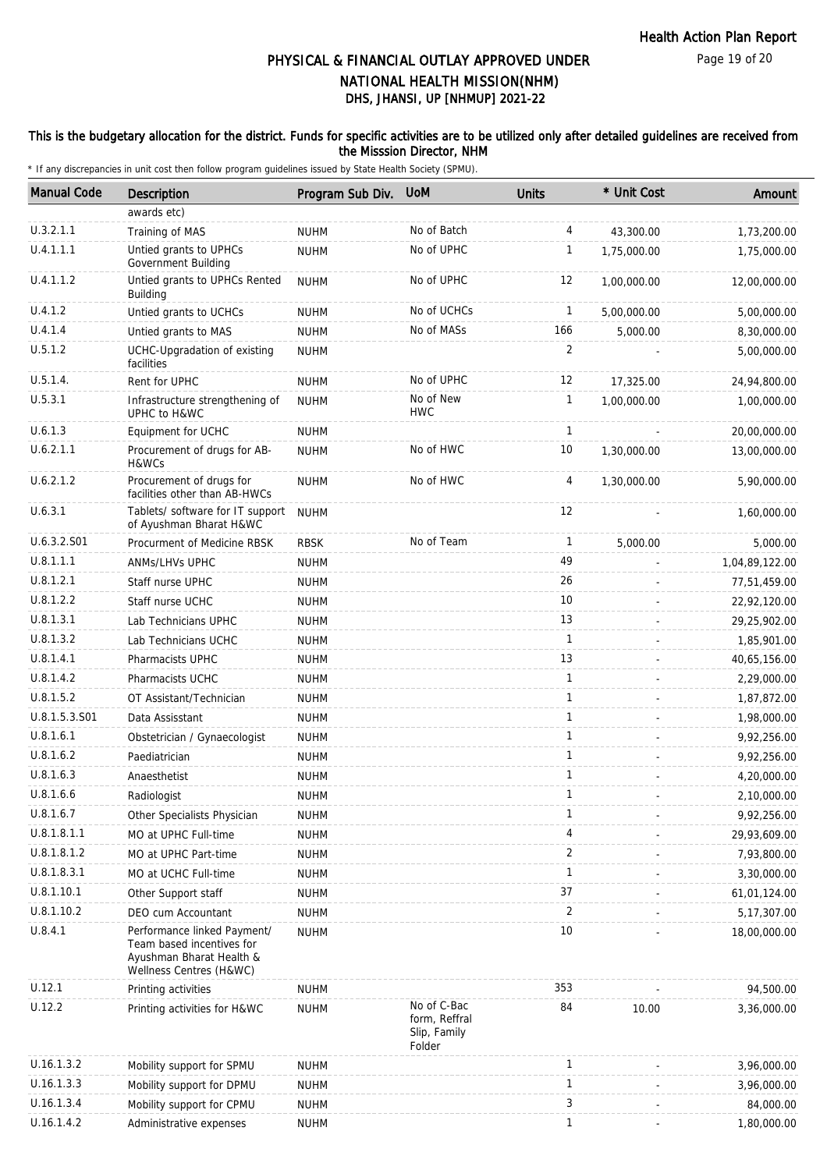## This is the budgetary allocation for the district. Funds for specific activities are to be utilized only after detailed guidelines are received from the Misssion Director, NHM

| <b>Manual Code</b> | Description                                                                                                     | Program Sub Div. | <b>UoM</b>                                             | <b>Units</b> | * Unit Cost | Amount         |
|--------------------|-----------------------------------------------------------------------------------------------------------------|------------------|--------------------------------------------------------|--------------|-------------|----------------|
|                    | awards etc)                                                                                                     |                  |                                                        |              |             |                |
| U.3.2.1.1          | Training of MAS                                                                                                 | <b>NUHM</b>      | No of Batch                                            | 4            | 43,300.00   | 1,73,200.00    |
| U.4.1.1.1          | Untied grants to UPHCs<br>Government Building                                                                   | <b>NUHM</b>      | No of UPHC                                             | 1            | 1,75,000.00 | 1,75,000.00    |
| U.4.1.1.2          | Untied grants to UPHCs Rented<br><b>Building</b>                                                                | <b>NUHM</b>      | No of UPHC                                             | 12           | 1,00,000.00 | 12,00,000.00   |
| U.4.1.2            | Untied grants to UCHCs                                                                                          | <b>NUHM</b>      | No of UCHCs                                            | 1            | 5,00,000.00 | 5,00,000.00    |
| U.4.1.4            | Untied grants to MAS                                                                                            | <b>NUHM</b>      | No of MASs                                             | 166          | 5,000.00    | 8,30,000.00    |
| U.5.1.2            | UCHC-Upgradation of existing<br>facilities                                                                      | <b>NUHM</b>      |                                                        | 2            |             | 5,00,000.00    |
| U.5.1.4.           | Rent for UPHC                                                                                                   | <b>NUHM</b>      | No of UPHC                                             | 12           | 17,325.00   | 24,94,800.00   |
| U.5.3.1            | Infrastructure strengthening of<br>UPHC to H&WC                                                                 | <b>NUHM</b>      | No of New<br><b>HWC</b>                                | $\mathbf{1}$ | 1,00,000.00 | 1,00,000.00    |
| U.6.1.3            | Equipment for UCHC                                                                                              | <b>NUHM</b>      |                                                        | $\mathbf{1}$ |             | 20,00,000.00   |
| U.6.2.1.1          | Procurement of drugs for AB-<br>H&WCs                                                                           | <b>NUHM</b>      | No of HWC                                              | 10           | 1,30,000.00 | 13,00,000.00   |
| U.6.2.1.2          | Procurement of drugs for<br>facilities other than AB-HWCs                                                       | <b>NUHM</b>      | No of HWC                                              | 4            | 1,30,000.00 | 5,90,000.00    |
| U.6.3.1            | Tablets/ software for IT support<br>of Ayushman Bharat H&WC                                                     | <b>NUHM</b>      |                                                        | 12           |             | 1,60,000.00    |
| U.6.3.2.S01        | Procurment of Medicine RBSK                                                                                     | <b>RBSK</b>      | No of Team                                             | $\mathbf{1}$ | 5,000.00    | 5,000.00       |
| U.8.1.1.1          | <b>ANMS/LHVS UPHC</b>                                                                                           | <b>NUHM</b>      |                                                        | 49           |             | 1,04,89,122.00 |
| U.8.1.2.1          | Staff nurse UPHC                                                                                                | <b>NUHM</b>      |                                                        | 26           |             | 77,51,459.00   |
| U.8.1.2.2          | Staff nurse UCHC                                                                                                | <b>NUHM</b>      |                                                        | 10           |             | 22,92,120.00   |
| U.8.1.3.1          | Lab Technicians UPHC                                                                                            | <b>NUHM</b>      |                                                        | 13           |             | 29,25,902.00   |
| U.8.1.3.2          | Lab Technicians UCHC                                                                                            | <b>NUHM</b>      |                                                        | $\mathbf{1}$ |             | 1,85,901.00    |
| U.8.1.4.1          | Pharmacists UPHC                                                                                                | <b>NUHM</b>      |                                                        | 13           |             | 40,65,156.00   |
| U.8.1.4.2          | Pharmacists UCHC                                                                                                | <b>NUHM</b>      |                                                        | $\mathbf{1}$ |             | 2,29,000.00    |
| U.8.1.5.2          | OT Assistant/Technician                                                                                         | <b>NUHM</b>      |                                                        | $\mathbf{1}$ |             | 1,87,872.00    |
| U.8.1.5.3.S01      | Data Assisstant                                                                                                 | <b>NUHM</b>      |                                                        | $\mathbf{1}$ |             | 1,98,000.00    |
| U.8.1.6.1          | Obstetrician / Gynaecologist                                                                                    | <b>NUHM</b>      |                                                        | $\mathbf{1}$ |             | 9,92,256.00    |
| U.8.1.6.2          | Paediatrician                                                                                                   | <b>NUHM</b>      |                                                        | $\mathbf{1}$ |             | 9,92,256.00    |
| U.8.1.6.3          | Anaesthetist                                                                                                    | <b>NUHM</b>      |                                                        | $\mathbf{1}$ |             | 4,20,000.00    |
| U.8.1.6.6          | Radiologist                                                                                                     | <b>NUHM</b>      |                                                        | $\mathbf 1$  |             | 2,10,000.00    |
| U.8.1.6.7          | Other Specialists Physician                                                                                     | <b>NUHM</b>      |                                                        | 1            |             | 9,92,256.00    |
| U.8.1.8.1.1        | MO at UPHC Full-time                                                                                            | <b>NUHM</b>      |                                                        | 4            |             | 29,93,609.00   |
| U.8.1.8.1.2        | MO at UPHC Part-time                                                                                            | <b>NUHM</b>      |                                                        | 2            |             | 7,93,800.00    |
| U.8.1.8.3.1        | MO at UCHC Full-time                                                                                            | <b>NUHM</b>      |                                                        | $\mathbf{1}$ |             | 3,30,000.00    |
| U.8.1.10.1         | Other Support staff                                                                                             | <b>NUHM</b>      |                                                        | 37           |             | 61,01,124.00   |
| U.8.1.10.2         | DEO cum Accountant                                                                                              | <b>NUHM</b>      |                                                        | 2            |             | 5, 17, 307.00  |
| U.8.4.1            | Performance linked Payment/<br>Team based incentives for<br>Ayushman Bharat Health &<br>Wellness Centres (H&WC) | <b>NUHM</b>      |                                                        | 10           |             | 18,00,000.00   |
| U.12.1             | Printing activities                                                                                             | <b>NUHM</b>      |                                                        | 353          |             | 94,500.00      |
| U.12.2             | Printing activities for H&WC                                                                                    | <b>NUHM</b>      | No of C-Bac<br>form, Reffral<br>Slip, Family<br>Folder | 84           | 10.00       | 3,36,000.00    |
| U.16.1.3.2         | Mobility support for SPMU                                                                                       | <b>NUHM</b>      |                                                        | $\mathbf{1}$ |             | 3,96,000.00    |
| U.16.1.3.3         | Mobility support for DPMU                                                                                       | <b>NUHM</b>      |                                                        | 1            |             | 3,96,000.00    |
| U.16.1.3.4         | Mobility support for CPMU                                                                                       | <b>NUHM</b>      |                                                        | 3            |             | 84,000.00      |
| U.16.1.4.2         | Administrative expenses                                                                                         | <b>NUHM</b>      |                                                        | $\mathbf{1}$ |             | 1,80,000.00    |